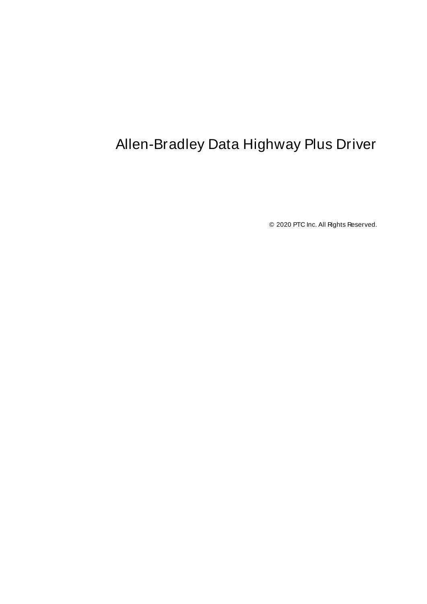# <span id="page-0-0"></span>Allen-Bradley Data Highway Plus Driver

© 2020 PTC Inc. All Rights Reserved.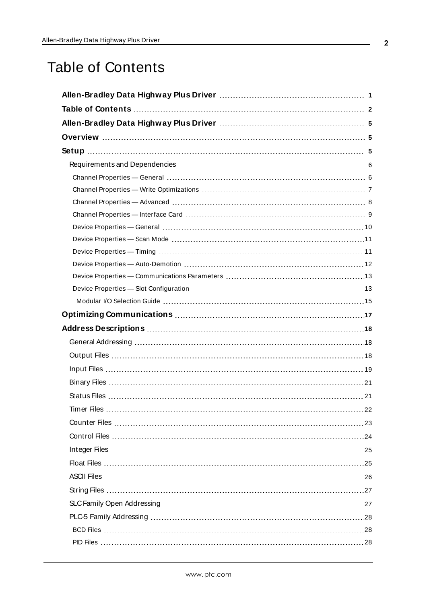## <span id="page-1-0"></span>Table of Contents

| Timer Files<br>$\ldots$ .22 |  |
|-----------------------------|--|
|                             |  |
|                             |  |
|                             |  |
|                             |  |
|                             |  |
|                             |  |
|                             |  |
|                             |  |
|                             |  |
|                             |  |
|                             |  |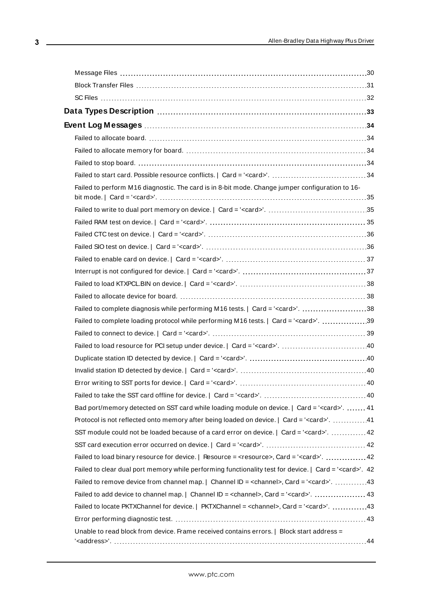| Failed to perform M16 diagnostic. The card is in 8-bit mode. Change jumper configuration to 16-                |  |
|----------------------------------------------------------------------------------------------------------------|--|
|                                                                                                                |  |
|                                                                                                                |  |
|                                                                                                                |  |
|                                                                                                                |  |
|                                                                                                                |  |
|                                                                                                                |  |
|                                                                                                                |  |
|                                                                                                                |  |
| Failed to complete diagnosis while performing M16 tests.   Card = ' <card>'. 38</card>                         |  |
| Failed to complete loading protocol while performing M16 tests.   Card = ' <card>'. 39</card>                  |  |
|                                                                                                                |  |
|                                                                                                                |  |
|                                                                                                                |  |
|                                                                                                                |  |
|                                                                                                                |  |
|                                                                                                                |  |
| Bad port/memory detected on SST card while loading module on device.   Card = ' <card>'.  41</card>            |  |
| Protocol is not reflected onto memory after being loaded on device.   Card = ' <card>'. 41</card>              |  |
| SST module could not be loaded because of a card error on device.   Card = ' <card>'.  42</card>               |  |
|                                                                                                                |  |
|                                                                                                                |  |
| Failed to clear dual port memory while performing functionality test for device.   Card = ' <card>'. 42</card> |  |
| Failed to remove device from channel map.   Channel ID = <channel>, Card = '<card>'. 43</card></channel>       |  |
| Failed to add device to channel map.   Channel ID = <channel>, Card = '<card>'.  43</card></channel>           |  |
| Failed to locate PKTXChannel for device.   PKTXChannel = <channel>, Card = '<card>'. 43</card></channel>       |  |
|                                                                                                                |  |
| Unable to read block from device. Frame received contains errors.   Block start address =                      |  |

<u> 1989 - Johann Barn, mars eta bainar e</u>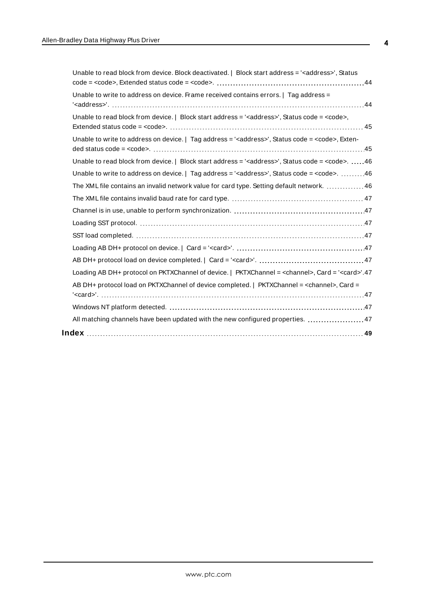| Unable to read block from device. Block deactivated.   Block start address = ' <address>', Status</address>         |  |
|---------------------------------------------------------------------------------------------------------------------|--|
| $code = code>, Extended status code = .      44$                                                                    |  |
| Unable to write to address on device. Frame received contains errors.   Tag address =                               |  |
| Unable to read block from device. $ $ Block start address = $\leq$ address>', Status code = $\leq$ code>,           |  |
| Unable to write to address on device. $ $ Tag address = ' <address>', Status code = <code>, Exten-</code></address> |  |
| Unable to read block from device.   Block start address = ' <address>', Status code = <code>. 46</code></address>   |  |
| Unable to write to address on device. $ $ Tag address = ' <address>', Status code = <code>. 46</code></address>     |  |
| The XML file contains an invalid network value for card type. Setting default network.  46                          |  |
|                                                                                                                     |  |
|                                                                                                                     |  |
|                                                                                                                     |  |
|                                                                                                                     |  |
|                                                                                                                     |  |
|                                                                                                                     |  |
| Loading AB DH+ protocol on PKTXChannel of device.   PKTXChannel = <channel>, Card = '<card>'.47</card></channel>    |  |
| AB DH+ protocol load on PKTXChannel of device completed.   PKTXChannel = <channel>, Card =</channel>                |  |
|                                                                                                                     |  |
| All matching channels have been updated with the new configured properties.  47                                     |  |
|                                                                                                                     |  |
|                                                                                                                     |  |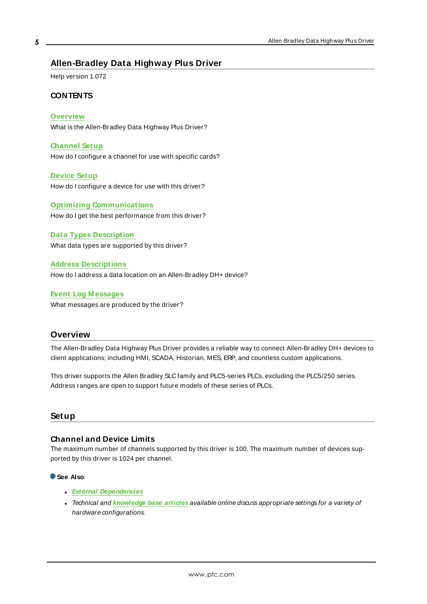### <span id="page-4-0"></span>**Allen-Bradley Data Highway Plus Driver**

Help version 1.072

#### **CONTENTS**

#### **[Overview](#page-4-1)**

What is the Allen-Bradley Data Highway Plus Driver?

#### **[Channel](#page-8-0) Setup**

How do I configure a channel for use with specific cards?

#### **[Device](#page-9-0) Setup**

How do I configure a device for use with this driver?

#### **Optimizing [Communications](#page-16-0)** How do I get the best performance from this driver?

**Data Types [Description](#page-32-0)** What data types are supported by this driver?

#### **Address [Descriptions](#page-17-0)** How do I address a data location on an Allen-Bradley DH+ device?

#### **Event Log [M essages](#page-33-1)**

What messages are produced by the driver?

#### <span id="page-4-1"></span>**Overview**

The Allen-Bradley Data Highway Plus Driver provides a reliable way to connect Allen-Bradley DH+ devices to client applications; including HMI, SCADA, Historian, MES, ERP, and countless custom applications.

This driver supports the Allen Bradley SLC family and PLC5-series PLCs, excluding the PLC5/250 series. Address ranges are open to support future models of these series of PLCs.

#### <span id="page-4-2"></span>**Setup**

#### **Channel and Device Limits**

The maximum number of channels supported by this driver is 100. The maximum number of devices supported by this driver is 1024 per channel.

#### **See Also**:

- <sup>l</sup> **External [Dependencies](#page-5-0)**
- <sup>l</sup> Technical and **[knowledge](https://www.kepware.com/support/knowledge-base/default.asp) base articles** available online discuss appropriate settings for a variety of hardware configurations.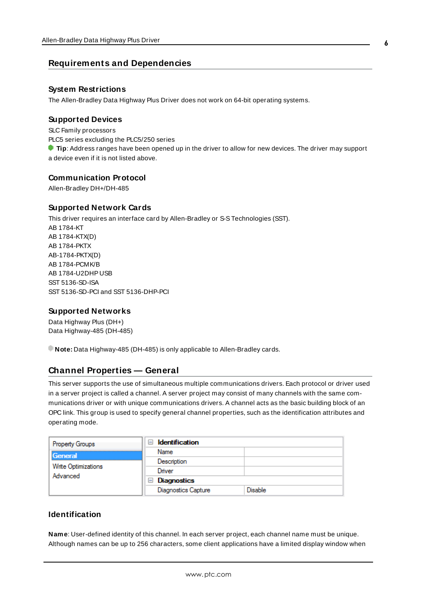#### <span id="page-5-0"></span>**Requirements and Dependencies**

#### **System Restrictions**

The Allen-Bradley Data Highway Plus Driver does not work on 64-bit operating systems.

#### **Supported Devices**

SLC Family processors PLC5 series excluding the PLC5/250 series **Tip**: Address ranges have been opened up in the driver to allow for new devices. The driver may support a device even if it is not listed above.

#### **Communication Protocol**

Allen-Bradley DH+/DH-485

#### **Supported Network Cards**

This driver requires an interface card by Allen-Bradley or S-STechnologies (SST). AB 1784-KT AB 1784-KTX(D) AB 1784-PKTX AB-1784-PKTX(D) AB 1784-PCMK/B AB 1784-U2DHP USB SST 5136-SD-ISA SST 5136-SD-PCI and SST 5136-DHP-PCI

#### **Supported Networks**

Data Highway Plus (DH+) Data Highway-485 (DH-485)

<span id="page-5-1"></span>**Note:** Data Highway-485 (DH-485) is only applicable to Allen-Bradley cards.

#### **Channel Properties — General**

This server supports the use of simultaneous multiple communications drivers. Each protocol or driver used in a server project is called a channel. A server project may consist of many channels with the same communications driver or with unique communications drivers. A channel acts as the basic building block of an OPC link. This group is used to specify general channel properties, such as the identification attributes and operating mode.

| Property Groups            | <b>Identification</b><br>$\blacksquare$ |                |
|----------------------------|-----------------------------------------|----------------|
| General                    | Name                                    |                |
|                            | Description                             |                |
| <b>Write Optimizations</b> | Driver                                  |                |
| Advanced                   | Diagnostics<br>$=$                      |                |
|                            | <b>Diagnostics Capture</b>              | <b>Disable</b> |

### **Identification**

**Name**: User-defined identity of this channel. In each server project, each channel name must be unique. Although names can be up to 256 characters, some client applications have a limited display window when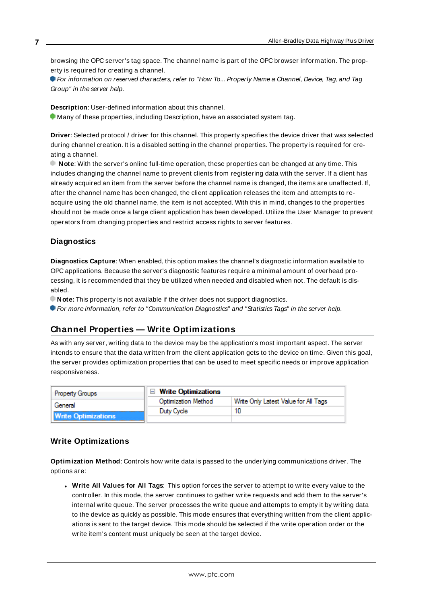browsing the OPC server's tag space. The channel name is part of the OPC browser information. The property is required for creating a channel.

For information on reserved characters, refer to "How To... Properly Name a Channel, Device, Tag, and Tag Group" in the server help.

**Description**: User-defined information about this channel.

Many of these properties, including Description, have an associated system tag.

**Driver**: Selected protocol / driver for this channel. This property specifies the device driver that was selected during channel creation. It is a disabled setting in the channel properties. The property is required for creating a channel.

**Note**: With the server's online full-time operation, these properties can be changed at any time. This includes changing the channel name to prevent clients from registering data with the server. If a client has already acquired an item from the server before the channel name is changed, the items are unaffected. If, after the channel name has been changed, the client application releases the item and attempts to reacquire using the old channel name, the item is not accepted. With this in mind, changes to the properties should not be made once a large client application has been developed. Utilize the User Manager to prevent operators from changing properties and restrict access rights to server features.

#### **Diagnostics**

**Diagnostics Capture**: When enabled, this option makes the channel's diagnostic information available to OPC applications. Because the server's diagnostic features require a minimal amount of overhead processing, it is recommended that they be utilized when needed and disabled when not. The default is disabled.

**Note:** This property is not available if the driver does not support diagnostics.

<span id="page-6-0"></span>For more information, refer to "Communication Diagnostics" and "Statistics Tags" in the server help.

### **Channel Properties — Write Optimizations**

As with any server, writing data to the device may be the application's most important aspect. The server intends to ensure that the data written from the client application gets to the device on time. Given this goal, the server provides optimization properties that can be used to meet specific needs or improve application responsiveness.

| <b>Property Groups</b>     | $\Box$ Write Optimizations |                                      |
|----------------------------|----------------------------|--------------------------------------|
| General                    | <b>Optimization Method</b> | Write Only Latest Value for All Tags |
|                            | Duty Cycle                 |                                      |
| <b>Write Optimizations</b> |                            |                                      |

#### **Write Optimizations**

**Optimization Method**: Controls how write data is passed to the underlying communications driver. The options are:

<sup>l</sup> **Write All Values for All Tags**: This option forces the server to attempt to write every value to the controller. In this mode, the server continues to gather write requests and add them to the server's internal write queue. The server processes the write queue and attempts to empty it by writing data to the device as quickly as possible. This mode ensures that everything written from the client applications is sent to the target device. This mode should be selected if the write operation order or the write item's content must uniquely be seen at the target device.

**7**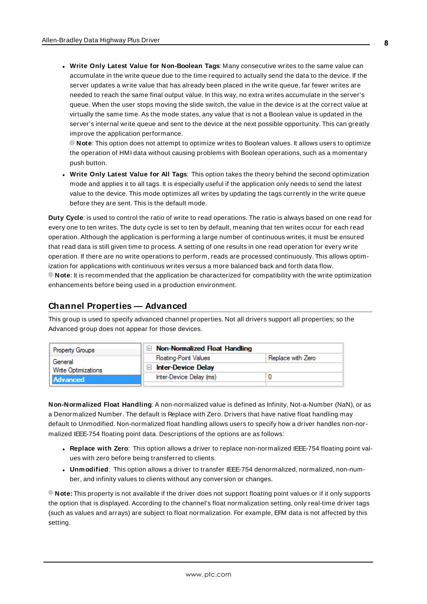<sup>l</sup> **Write Only Latest Value for Non-Boolean Tags**: Many consecutive writes to the same value can accumulate in the write queue due to the time required to actually send the data to the device. If the server updates a write value that has already been placed in the write queue, far fewer writes are needed to reach the same final output value. In this way, no extra writes accumulate in the server's queue. When the user stops moving the slide switch, the value in the device is at the correct value at virtually the same time. As the mode states, any value that is not a Boolean value is updated in the server's internal write queue and sent to the device at the next possible opportunity. This can greatly improve the application performance.

**Note**: This option does not attempt to optimize writes to Boolean values. It allows users to optimize the operation of HMI data without causing problems with Boolean operations, such as a momentary push button.

**• Write Only Latest Value for All Tags**: This option takes the theory behind the second optimization mode and applies it to all tags. It is especially useful if the application only needs to send the latest value to the device. This mode optimizes all writes by updating the tags currently in the write queue before they are sent. This is the default mode.

**Duty Cycle**: is used to control the ratio of write to read operations. The ratio is always based on one read for every one to ten writes. The duty cycle is set to ten by default, meaning that ten writes occur for each read operation. Although the application is performing a large number of continuous writes, it must be ensured that read data is still given time to process. A setting of one results in one read operation for every write operation. If there are no write operations to perform, reads are processed continuously. This allows optimization for applications with continuous writes versus a more balanced back and forth data flow. **Note**: It is recommended that the application be characterized for compatibility with the write optimization enhancements before being used in a production environment.

#### <span id="page-7-0"></span>**Channel Properties — Advanced**

This group is used to specify advanced channel properties. Not all drivers support all properties; so the Advanced group does not appear for those devices.



**Non-Normalized Float Handling**: A non-normalized value is defined as Infinity, Not-a-Number (NaN), or as a Denormalized Number. The default is Replace with Zero. Drivers that have native float handling may default to Unmodified. Non-normalized float handling allows users to specify how a driver handles non-normalized IEEE-754 floating point data. Descriptions of the options are as follows:

- <sup>l</sup> **Replace with Zero**: This option allows a driver to replace non-normalized IEEE-754 floating point values with zero before being transferred to clients.
- <sup>l</sup> **Unmodified**: This option allows a driver to transfer IEEE-754 denormalized, normalized, non-number, and infinity values to clients without any conversion or changes.

**Note:** This property is not available if the driver does not support floating point values or if it only supports the option that is displayed. According to the channel's float normalization setting, only real-time driver tags (such as values and arrays) are subject to float normalization. For example, EFM data is not affected by this setting.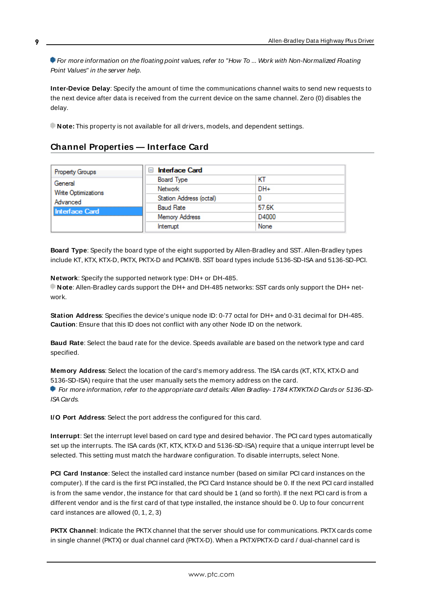For more information on the floating point values, refer to "How To ... Work with Non-Normalized Floating Point Values" in the server help.

**Inter-Device Delay**: Specify the amount of time the communications channel waits to send new requests to the next device after data is received from the current device on the same channel. Zero (0) disables the delay.

<span id="page-8-0"></span>**Note:** This property is not available for all drivers, models, and dependent settings.

### **Channel Properties — Interface Card**

| <b>Property Groups</b> | $\Box$ Interface Card   |       |
|------------------------|-------------------------|-------|
| General                | Board Type              | KТ    |
| Write Optimizations    | Network                 | DH+   |
| Advanced               | Station Address (octal) |       |
| <b>Interface Card</b>  | <b>Baud Rate</b>        | 57.6K |
|                        | <b>Memory Address</b>   | D4000 |
|                        | Interrupt               | None  |

<span id="page-8-2"></span>**Board Type**: Specify the board type of the eight supported by Allen-Bradley and SST. Allen-Bradley types include KT, KTX, KTX-D, PKTX, PKTX-D and PCMK/B. SST board types include 5136-SD-ISA and 5136-SD-PCI.

<span id="page-8-6"></span>**Network**: Specify the supported network type: DH+ or DH-485.

**Note**: Allen-Bradley cards support the DH+ and DH-485 networks: SST cards only support the DH+ network.

<span id="page-8-9"></span>**Station Address**: Specifies the device's unique node ID: 0-77 octal for DH+ and 0-31 decimal for DH-485. **Caution**: Ensure that this ID does not conflict with any other Node ID on the network.

<span id="page-8-1"></span>**Baud Rate**: Select the baud rate for the device. Speeds available are based on the network type and card specified.

<span id="page-8-5"></span>**Memory Address**: Select the location of the card's memory address. The ISA cards (KT, KTX, KTX-D and 5136-SD-ISA) require that the user manually sets the memory address on the card.

For more information, refer to the appropriate card details: Allen Bradley- 1784 KTX/KTX-D Cards or 5136-SD-ISA Cards.

<span id="page-8-4"></span><span id="page-8-3"></span>**I/O Port Address**: Select the port address the configured for this card.

**Interrupt**: Set the interrupt level based on card type and desired behavior. The PCI card types automatically set up the interrupts. The ISA cards (KT, KTX, KTX-D and 5136-SD-ISA) require that a unique interrupt level be selected. This setting must match the hardware configuration. To disable interrupts, select None.

<span id="page-8-7"></span>**PCI Card Instance**: Select the installed card instance number (based on similar PCI card instances on the computer). If the card is the first PCI installed, the PCI Card Instance should be 0. If the next PCI card installed is from the same vendor, the instance for that card should be 1 (and so forth). If the next PCI card is from a different vendor and is the first card of that type installed, the instance should be 0. Up to four concurrent card instances are allowed (0, 1, 2, 3)

<span id="page-8-8"></span>**PKTX Channel:** Indicate the PKTX channel that the server should use for communications. PKTX cards come in single channel (PKTX) or dual channel card (PKTX-D). When a PKTX/PKTX-D card / dual-channel card is

**9**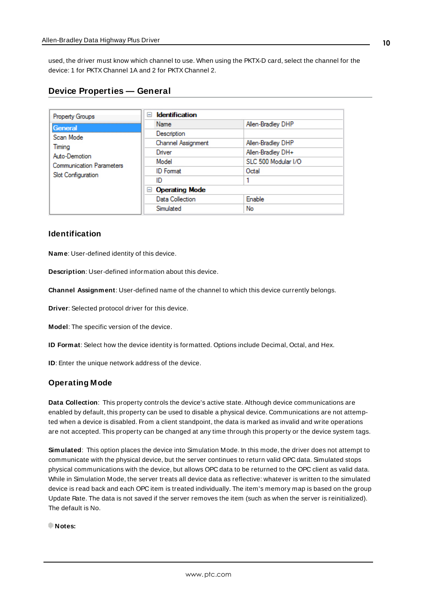used, the driver must know which channel to use. When using the PKTX-D card, select the channel for the device: 1 for PKTX Channel 1A and 2 for PKTX Channel 2.

<span id="page-9-0"></span>

| <b>Device Properties - General</b> |  |  |
|------------------------------------|--|--|
|------------------------------------|--|--|

| <b>Property Groups</b>          | <b>Identification</b><br>$\overline{}$ |                     |  |
|---------------------------------|----------------------------------------|---------------------|--|
| General                         | Name                                   | Allen-Bradley DHP   |  |
| Scan Mode                       | Description                            |                     |  |
| Timina                          | Channel Assignment                     | Allen-Bradley DHP   |  |
| Auto-Demotion                   | Driver                                 | Allen-Bradley DH+   |  |
| <b>Communication Parameters</b> | Model                                  | SLC 500 Modular I/O |  |
| Slot Configuration              | <b>ID</b> Format                       | Octal               |  |
|                                 | ID                                     |                     |  |
|                                 | $\Box$ Operating Mode                  |                     |  |
|                                 | Data Collection                        | Enable              |  |
|                                 | Simulated                              | No                  |  |

#### **Identification**

**Name**: User-defined identity of this device.

<span id="page-9-1"></span>**Description**: User-defined information about this device.

<span id="page-9-3"></span>**Channel Assignment**: User-defined name of the channel to which this device currently belongs.

<span id="page-9-6"></span>**Driver**: Selected protocol driver for this device.

<span id="page-9-5"></span>**Model**: The specific version of the device.

<span id="page-9-4"></span>**ID Format**: Select how the device identity is formatted. Options include Decimal, Octal, and Hex.

**ID**: Enter the unique network address of the device.

#### <span id="page-9-2"></span>**Operating Mode**

**Data Collection**: This property controls the device's active state. Although device communications are enabled by default, this property can be used to disable a physical device. Communications are not attempted when a device is disabled. From a client standpoint, the data is marked as invalid and write operations are not accepted. This property can be changed at any time through this property or the device system tags.

<span id="page-9-7"></span>**Simulated**: This option places the device into Simulation Mode. In this mode, the driver does not attempt to communicate with the physical device, but the server continues to return valid OPC data. Simulated stops physical communications with the device, but allows OPC data to be returned to the OPC client as valid data. While in Simulation Mode, the server treats all device data as reflective: whatever is written to the simulated device is read back and each OPC item is treated individually. The item's memory map is based on the group Update Rate. The data is not saved if the server removes the item (such as when the server is reinitialized). The default is No.

**Notes:**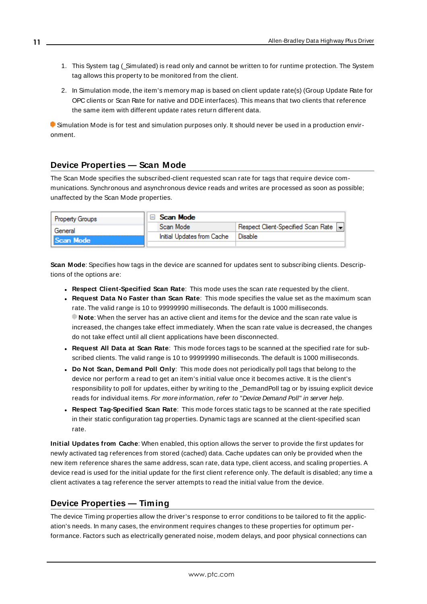- 1. This System tag (\_Simulated) is read only and cannot be written to for runtime protection. The System tag allows this property to be monitored from the client.
- 2. In Simulation mode, the item's memory map is based on client update rate(s) (Group Update Rate for OPC clients or Scan Rate for native and DDEinterfaces). This means that two clients that reference the same item with different update rates return different data.

 Simulation Mode is for test and simulation purposes only. It should never be used in a production environment.

### <span id="page-10-0"></span>**Device Properties — Scan Mode**

The Scan Mode specifies the subscribed-client requested scan rate for tags that require device communications. Synchronous and asynchronous device reads and writes are processed as soon as possible; unaffected by the Scan Mode properties.

| <b>Property Groups</b> | $\Box$ Scan Mode           |                                    |
|------------------------|----------------------------|------------------------------------|
| General                | Scan Mode                  | Respect Client-Specified Scan Rate |
| Scan Mode              | Initial Updates from Cache | ' Disable                          |
|                        |                            |                                    |

<span id="page-10-5"></span>**Scan Mode**: Specifies how tags in the device are scanned for updates sent to subscribing clients. Descriptions of the options are:

- <sup>l</sup> **Respect Client-Specified Scan Rate**: This mode uses the scan rate requested by the client.
- <sup>l</sup> **Request Data No Faster than Scan Rate**: This mode specifies the value set as the maximum scan rate. The valid range is 10 to 99999990 milliseconds. The default is 1000 milliseconds. **Note**: When the server has an active client and items for the device and the scan rate value is increased, the changes take effect immediately. When the scan rate value is decreased, the changes do not take effect until all client applications have been disconnected.
- <sup>l</sup> **Request All Data at Scan Rate**: This mode forces tags to be scanned at the specified rate for subscribed clients. The valid range is 10 to 99999990 milliseconds. The default is 1000 milliseconds.
- <span id="page-10-2"></span><sup>l</sup> **Do Not Scan, Demand Poll Only**: This mode does not periodically poll tags that belong to the device nor perform a read to get an item's initial value once it becomes active. It is the client's responsibility to poll for updates, either by writing to the \_DemandPoll tag or by issuing explicit device reads for individual items. For more information, refer to "Device Demand Poll" in server help.
- <span id="page-10-4"></span><sup>l</sup> **Respect Tag-Specified Scan Rate**: This mode forces static tags to be scanned at the rate specified in their static configuration tag properties. Dynamic tags are scanned at the client-specified scan rate.

<span id="page-10-3"></span>**Initial Updates from Cache**: When enabled, this option allows the server to provide the first updates for newly activated tag references from stored (cached) data. Cache updates can only be provided when the new item reference shares the same address, scan rate, data type, client access, and scaling properties. A device read is used for the initial update for the first client reference only. The default is disabled; any time a client activates a tag reference the server attempts to read the initial value from the device.

#### <span id="page-10-1"></span>**Device Properties — Timing**

The device Timing properties allow the driver's response to error conditions to be tailored to fit the application's needs. In many cases, the environment requires changes to these properties for optimum performance. Factors such as electrically generated noise, modem delays, and poor physical connections can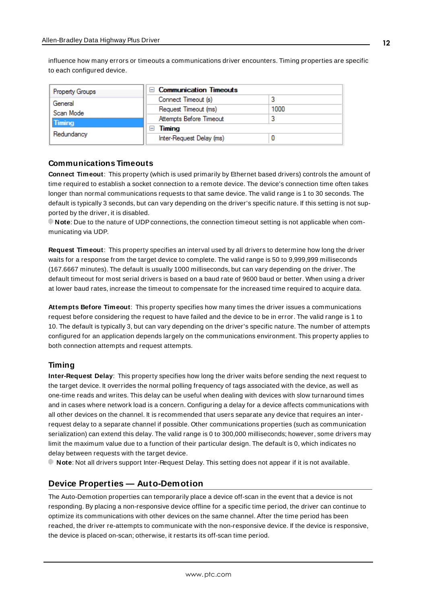<span id="page-11-2"></span>influence how many errors or timeouts a communications driver encounters. Timing properties are specific to each configured device.

| Property Groups | $\Box$ Communication Timeouts |      |
|-----------------|-------------------------------|------|
| General         | Connect Timeout (s)           |      |
| Scan Mode       | Request Timeout (ms)          | 1000 |
| <b>Timing</b>   | Attempts Before Timeout       |      |
|                 | Timing                        |      |
| Redundancy      | Inter-Request Delay (ms)      |      |

#### <span id="page-11-3"></span>**Communications Timeouts**

**Connect Timeout**: This property (which is used primarily by Ethernet based drivers) controls the amount of time required to establish a socket connection to a remote device. The device's connection time often takes longer than normal communications requests to that same device. The valid range is 1 to 30 seconds. The default is typically 3 seconds, but can vary depending on the driver's specific nature. If this setting is not supported by the driver, it is disabled.

**Note**: Due to the nature of UDPconnections, the connection timeout setting is not applicable when communicating via UDP.

<span id="page-11-5"></span>**Request Timeout**: This property specifies an interval used by all drivers to determine how long the driver waits for a response from the target device to complete. The valid range is 50 to 9,999,999 milliseconds (167.6667 minutes). The default is usually 1000 milliseconds, but can vary depending on the driver. The default timeout for most serial drivers is based on a baud rate of 9600 baud or better. When using a driver at lower baud rates, increase the timeout to compensate for the increased time required to acquire data.

<span id="page-11-1"></span>**Attempts Before Timeout**: This property specifies how many times the driver issues a communications request before considering the request to have failed and the device to be in error. The valid range is 1 to 10. The default is typically 3, but can vary depending on the driver's specific nature. The number of attempts configured for an application depends largely on the communications environment. This property applies to both connection attempts and request attempts.

#### <span id="page-11-4"></span>**Timing**

**Inter-Request Delay**: This property specifies how long the driver waits before sending the next request to the target device. It overrides the normal polling frequency of tags associated with the device, as well as one-time reads and writes. This delay can be useful when dealing with devices with slow turnaround times and in cases where network load is a concern. Configuring a delay for a device affects communications with all other devices on the channel. It is recommended that users separate any device that requires an interrequest delay to a separate channel if possible. Other communications properties (such as communication serialization) can extend this delay. The valid range is 0 to 300,000 milliseconds; however, some drivers may limit the maximum value due to a function of their particular design. The default is 0, which indicates no delay between requests with the target device.

<span id="page-11-0"></span>**Note**: Not all drivers support Inter-Request Delay. This setting does not appear if it is not available.

#### **Device Properties — Auto-Demotion**

The Auto-Demotion properties can temporarily place a device off-scan in the event that a device is not responding. By placing a non-responsive device offline for a specific time period, the driver can continue to optimize its communications with other devices on the same channel. After the time period has been reached, the driver re-attempts to communicate with the non-responsive device. If the device is responsive, the device is placed on-scan; otherwise, it restarts its off-scan time period.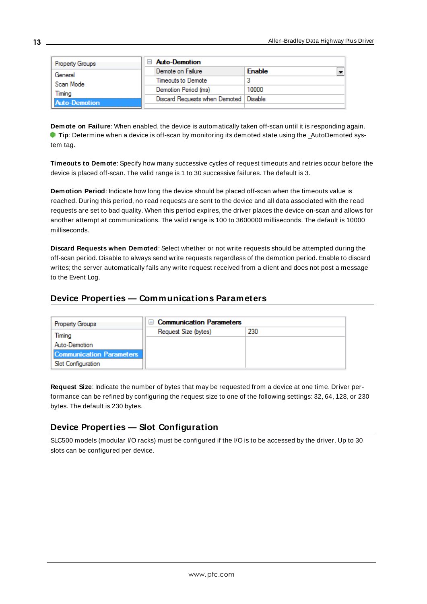| <b>Property Groups</b> | <b>Auto-Demotion</b>          |               |
|------------------------|-------------------------------|---------------|
| General                | Demote on Failure             | <b>Enable</b> |
| Scan Mode              | Timeouts to Demote            |               |
| Timina                 | Demotion Period (ms)          | 10000         |
| <b>Auto-Demotion</b>   | Discard Requests when Demoted | Disable       |
|                        |                               |               |

<span id="page-12-2"></span>**Demote on Failure**: When enabled, the device is automatically taken off-scan until it is responding again. **Tip:** Determine when a device is off-scan by monitoring its demoted state using the \_AutoDemoted system tag.

<span id="page-12-7"></span>**Timeouts to Demote**: Specify how many successive cycles of request timeouts and retries occur before the device is placed off-scan. The valid range is 1 to 30 successive failures. The default is 3.

<span id="page-12-3"></span>**Demotion Period**: Indicate how long the device should be placed off-scan when the timeouts value is reached. During this period, no read requests are sent to the device and all data associated with the read requests are set to bad quality. When this period expires, the driver places the device on-scan and allows for another attempt at communications. The valid range is 100 to 3600000 milliseconds. The default is 10000 milliseconds.

<span id="page-12-4"></span>**Discard Requests when Demoted**: Select whether or not write requests should be attempted during the off-scan period. Disable to always send write requests regardless of the demotion period. Enable to discard writes; the server automatically fails any write request received from a client and does not post a message to the Event Log.

### <span id="page-12-0"></span>**Device Properties — Communications Parameters**

| <b>Property Groups</b>          | <b>Communication Parameters</b><br>$\overline{}$ |     |  |
|---------------------------------|--------------------------------------------------|-----|--|
| Timing                          | Request Size (bytes)                             | 230 |  |
| Auto-Demotion                   |                                                  |     |  |
| <b>Communication Parameters</b> |                                                  |     |  |
| Slot Configuration              |                                                  |     |  |

<span id="page-12-5"></span>**Request Size**: Indicate the number of bytes that may be requested from a device at one time. Driver performance can be refined by configuring the request size to one of the following settings: 32, 64, 128, or 230 bytes. The default is 230 bytes.

### <span id="page-12-6"></span><span id="page-12-1"></span>**Device Properties — Slot Configuration**

SLC500 models (modular I/O racks) must be configured if the I/O is to be accessed by the driver. Up to 30 slots can be configured per device.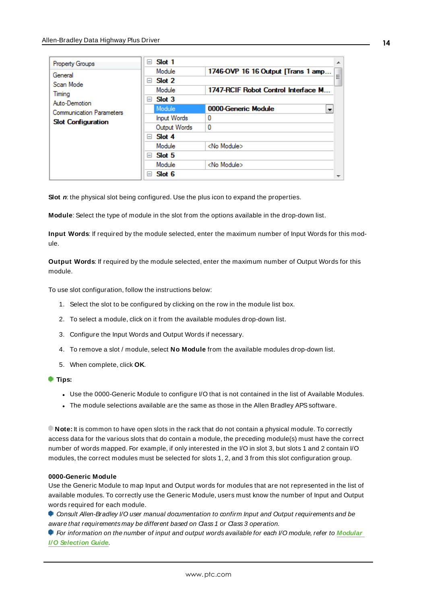| <b>Property Groups</b>          | Slot 1<br>$\overline{ }$ | A.                                      |
|---------------------------------|--------------------------|-----------------------------------------|
| General                         | Module                   | 1746-OVP 16 16 Output [Trans 1 amp<br>Ξ |
| Scan Mode                       | Slot 2<br>$=$            |                                         |
| Timing                          | Module                   | 1747-RCIF Robot Control Interface M     |
| Auto-Demotion                   | Slot 3<br>$=$            |                                         |
| <b>Communication Parameters</b> | Module                   | 0000-Generic Module                     |
| <b>Slot Configuration</b>       | <b>Input Words</b>       | 0                                       |
|                                 | Output Words             | 0                                       |
|                                 | $\Box$ Slot 4            |                                         |
|                                 | Module                   | <no module=""></no>                     |
|                                 | Slot 5<br>$=$            |                                         |
|                                 | Module                   | <no module=""></no>                     |
|                                 | Slot 6<br>$\overline{ }$ |                                         |

<span id="page-13-2"></span>**Slot** *n*: the physical slot being configured. Use the plus icon to expand the properties.

<span id="page-13-1"></span>**Module**: Select the type of module in the slot from the options available in the drop-down list.

**Input Words**: If required by the module selected, enter the maximum number of Input Words for this module.

<span id="page-13-3"></span>**Output Words**: If required by the module selected, enter the maximum number of Output Words for this module.

To use slot configuration, follow the instructions below:

- 1. Select the slot to be configured by clicking on the row in the module list box.
- 2. To select a module, click on it from the available modules drop-down list.
- 3. Configure the Input Words and Output Words if necessary.
- 4. To remove a slot / module, select **No Module** from the available modules drop-down list.
- 5. When complete, click **OK**.
- **Tips:**
	- Use the 0000-Generic Module to configure I/O that is not contained in the list of Available Modules.
	- The module selections available are the same as those in the Allen Bradley APS software.

**Note:** It is common to have open slots in the rack that do not contain a physical module. To correctly access data for the various slots that do contain a module, the preceding module(s) must have the correct number of words mapped. For example, if only interested in the I/O in slot 3, but slots 1 and 2 contain I/O modules, the correct modules must be selected for slots 1, 2, and 3 from this slot configuration group.

#### <span id="page-13-0"></span>**0000-Generic Module**

Use the Generic Module to map Input and Output words for modules that are not represented in the list of available modules. To correctly use the Generic Module, users must know the number of Input and Output words required for each module.

Consult Allen-Bradley I/O user manual documentation to confirm Input and Output requirements and be aware that requirements may be different based on Class 1 or Class 3 operation.

For information on the number of input and output words available for each I/O module, refer to **[Modular](#page-14-0) I/O [Selection](#page-14-0) Guide**.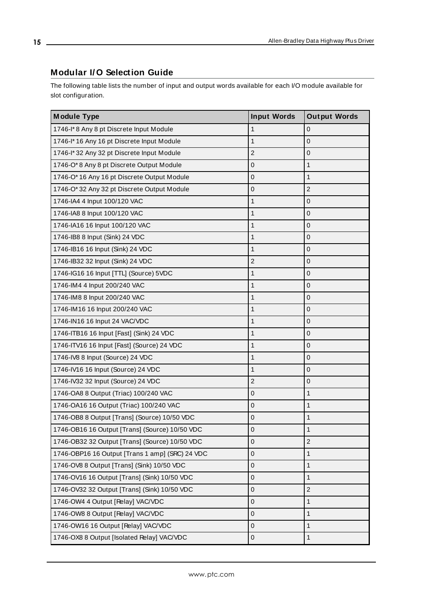### <span id="page-14-0"></span>**Modular I/ O Selection Guide**

The following table lists the number of input and output words available for each I/O module available for slot configuration.

| <b>Module Type</b>                              | <b>Input Words</b> | <b>Output Words</b> |
|-------------------------------------------------|--------------------|---------------------|
| 1746-I*8 Any 8 pt Discrete Input Module         | $\mathbf{1}$       | $\overline{0}$      |
| 1746-I* 16 Any 16 pt Discrete Input Module      | 1                  | $\boldsymbol{0}$    |
| 1746-I* 32 Any 32 pt Discrete Input Module      | $\overline{2}$     | $\overline{0}$      |
| 1746-O*8 Any 8 pt Discrete Output Module        | $\mathbf 0$        | $\mathbf{1}$        |
| 1746-O* 16 Any 16 pt Discrete Output Module     | $\mathbf 0$        | $\mathbf{1}$        |
| 1746-O*32 Any 32 pt Discrete Output Module      | $\mathbf 0$        | $\overline{2}$      |
| 1746-IA4 4 Input 100/120 VAC                    | 1                  | $\boldsymbol{0}$    |
| 1746-IA8 8 Input 100/120 VAC                    | $\mathbf{1}$       | $\mathbf 0$         |
| 1746-IA16 16 Input 100/120 VAC                  | 1                  | $\overline{0}$      |
| 1746-IB8 8 Input (Sink) 24 VDC                  | $\mathbf{1}$       | $\mathbf 0$         |
| 1746-IB16 16 Input (Sink) 24 VDC                | $\mathbf{1}$       | $\pmb{0}$           |
| 1746-IB32 32 Input (Sink) 24 VDC                | $\overline{2}$     | $\boldsymbol{0}$    |
| 1746-IG16 16 Input [TTL] (Source) 5VDC          | $\mathbf{1}$       | $\overline{0}$      |
| 1746-IM4 4 Input 200/240 VAC                    | 1                  | $\overline{0}$      |
| 1746-IM8 8 Input 200/240 VAC                    | 1                  | $\mathbf 0$         |
| 1746-IM16 16 Input 200/240 VAC                  | $\mathbf{1}$       | $\pmb{0}$           |
| 1746-IN16 16 Input 24 VAC/VDC                   | $\mathbf{1}$       | $\boldsymbol{0}$    |
| 1746-ITB16 16 Input [Fast] (Sink) 24 VDC        | $\mathbf{1}$       | $\mathbf 0$         |
| 1746-ITV16 16 Input [Fast] (Source) 24 VDC      | 1                  | $\overline{0}$      |
| 1746-IV8 8 Input (Source) 24 VDC                | 1                  | $\overline{0}$      |
| 1746-IV16 16 Input (Source) 24 VDC              | $\mathbf{1}$       | $\boldsymbol{0}$    |
| 1746-IV32 32 Input (Source) 24 VDC              | $\overline{2}$     | $\boldsymbol{0}$    |
| 1746-OA8 8 Output (Triac) 100/240 VAC           | $\mathbf 0$        | $\mathbf{1}$        |
| 1746-OA16 16 Output (Triac) 100/240 VAC         | $\mathbf 0$        | $\mathbf{1}$        |
| 1746-OB8 8 Output [Trans] (Source) 10/50 VDC    | $\mathbf 0$        | $\mathbf{1}$        |
| 1746-OB16 16 Output [Trans] (Source) 10/50 VDC  | $\mathbf 0$        | $\mathbf{1}$        |
| 1746-OB32 32 Output [Trans] (Source) 10/50 VDC  | $\mathbf 0$        | $\overline{c}$      |
| 1746-OBP16 16 Output [Trans 1 amp] (SRC) 24 VDC | $\mathbf 0$        | $\mathbf{1}$        |
| 1746-OV8 8 Output [Trans] (Sink) 10/50 VDC      | $\Omega$           | 1                   |
| 1746-OV16 16 Output [Trans] (Sink) 10/50 VDC    | $\mathbf 0$        | 1                   |
| 1746-OV32 32 Output [Trans] (Sink) 10/50 VDC    | 0                  | $\overline{c}$      |
| 1746-OW4 4 Output [Relay] VAC/VDC               | $\mathbf 0$        | $\mathbf{1}$        |
| 1746-OW8 8 Output [Relay] VAC/VDC               | $\mathbf 0$        | $\mathbf{1}$        |
| 1746-OW16 16 Output [Relay] VAC/VDC             | $\mathbf 0$        | $\mathbf{1}$        |
| 1746-OX8 8 Output [Isolated Relay] VAC/VDC      | $\mathsf 0$        | $\mathbf{1}$        |

www.ptc.com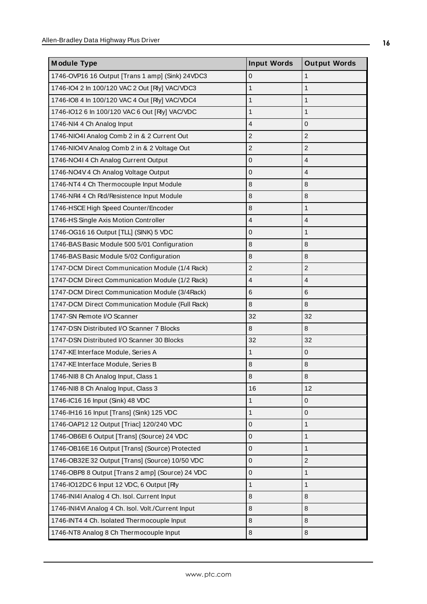| <b>Module Type</b>                                 | <b>Input Words</b> | <b>Output Words</b> |
|----------------------------------------------------|--------------------|---------------------|
| 1746-OVP16 16 Output [Trans 1 amp] (Sink) 24VDC3   | $\mathbf 0$        | $\mathbf{1}$        |
| 1746-IO4 2 In 100/120 VAC 2 Out [Rly] VAC/VDC3     | $\mathbf{1}$       | $\mathbf{1}$        |
| 1746-IO8 4 In 100/120 VAC 4 Out [Rly] VAC/VDC4     | $\mathbf{1}$       | $\mathbf{1}$        |
| 1746-IO12 6 In 100/120 VAC 6 Out [Rly] VAC/VDC     | 1                  | 1                   |
| 1746-NI4 4 Ch Analog Input                         | $\overline{4}$     | $\overline{0}$      |
| 1746-NIO4I Analog Comb 2 in & 2 Current Out        | $\overline{c}$     | $\overline{2}$      |
| 1746-NIO4V Analog Comb 2 in & 2 Voltage Out        | $\overline{c}$     | $\overline{c}$      |
| 1746-NO4I 4 Ch Analog Current Output               | $\Omega$           | $\overline{4}$      |
| 1746-NO4V 4 Ch Analog Voltage Output               | $\mathbf 0$        | $\overline{4}$      |
| 1746-NT4 4 Ch Thermocouple Input Module            | 8                  | 8                   |
| 1746-NR4 4 Ch Rtd/Resistence Input Module          | $\,8\,$            | 8                   |
| 1746-HSCE High Speed Counter/Encoder               | 8                  | $\mathbf{1}$        |
| 1746-HS Single Axis Motion Controller              | $\overline{4}$     | $\overline{4}$      |
| 1746-OG16 16 Output [TLL] (SINK) 5 VDC             | 0                  | $\mathbf{1}$        |
| 1746-BAS Basic Module 500 5/01 Configuration       | 8                  | 8                   |
| 1746-BAS Basic Module 5/02 Configuration           | 8                  | $\, 8$              |
| 1747-DCM Direct Communication Module (1/4 Rack)    | $\overline{c}$     | $\overline{2}$      |
| 1747-DCM Direct Communication Module (1/2 Rack)    | $\overline{4}$     | $\overline{4}$      |
| 1747-DCM Direct Communication Module (3/4Rack)     | 6                  | 6                   |
| 1747-DCM Direct Communication Module (Full Rack)   | 8                  | 8                   |
| 1747-SN Remote I/O Scanner                         | 32                 | 32                  |
| 1747-DSN Distributed I/O Scanner 7 Blocks          | 8                  | 8                   |
| 1747-DSN Distributed I/O Scanner 30 Blocks         | 32                 | 32                  |
| 1747-KE Interface Module, Series A                 | $\mathbf{1}$       | $\mathbf 0$         |
| 1747-KE Interface Module, Series B                 | 8                  | 8                   |
| 1746-NI8 8 Ch Analog Input, Class 1                | 8                  | $\, 8$              |
| 1746-NI8 8 Ch Analog Input, Class 3                | 16                 | 12                  |
| 1746-IC16 16 Input (Sink) 48 VDC                   | 1                  | $\mathbf 0$         |
| 1746-IH16 16 Input [Trans] (Sink) 125 VDC          | $\mathbf{1}$       | $\overline{0}$      |
| 1746-OAP12 12 Output [Triac] 120/240 VDC           | $\mathbf{0}$       | $\mathbf{1}$        |
| 1746-OB6El 6 Output [Trans] (Source) 24 VDC        | 0                  | $\mathbf{1}$        |
| 1746-OB16E 16 Output [Trans] (Source) Protected    | $\mathbf 0$        | $\mathbf{1}$        |
| 1746-OB32E 32 Output [Trans] (Source) 10/50 VDC    | $\mathbf 0$        | $\overline{c}$      |
| 1746-OBP8 8 Output [Trans 2 amp] (Source) 24 VDC   | $\mathbf{0}$       | $\mathbf{1}$        |
| 1746-IO12DC 6 Input 12 VDC, 6 Output [Rly          | 1                  | 1                   |
| 1746-INI4I Analog 4 Ch. Isol. Current Input        | 8                  | $\,8\,$             |
| 1746-INI4VI Analog 4 Ch. Isol. Volt./Current Input | 8                  | 8                   |
| 1746-INT4 4 Ch. Isolated Thermocouple Input        | 8                  | 8                   |
| 1746-NT8 Analog 8 Ch Thermocouple Input            | 8                  | 8                   |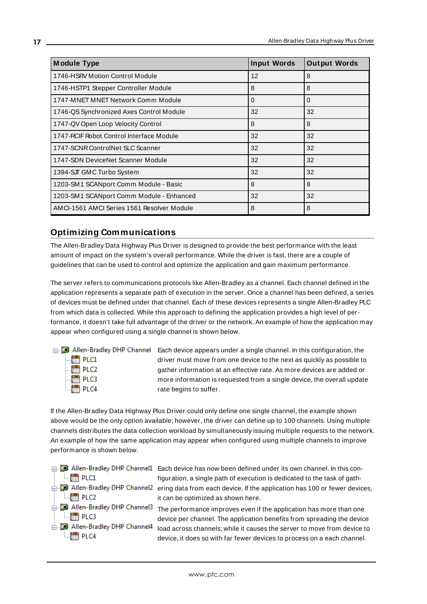| <b>Module Type</b>                         | <b>Input Words</b> | <b>Output Words</b> |
|--------------------------------------------|--------------------|---------------------|
| 1746-HSRV Motion Control Module            | 12                 | 8                   |
| 1746-HSTP1 Stepper Controller Module       | 8                  | 8                   |
| 1747-MNET MNET Network Comm Module         | $\Omega$           | $\Omega$            |
| 1746-QS Synchronized Axes Control Module   | 32                 | 32                  |
| 1747-QV Open Loop Velocity Control         | 8                  | 8                   |
| 1747-RCIF Robot Control Interface Module   | 32                 | 32                  |
| 1747-SCNR ControlNet SLC Scanner           | 32                 | 32                  |
| 1747-SDN DeviceNet Scanner Module          | 32                 | 32                  |
| 1394-SJT GMC Turbo System                  | 32                 | 32                  |
| 1203-SM1 SCANport Comm Module - Basic      | 8                  | 8                   |
| 1203-SM1 SCANport Comm Module - Enhanced   | 32                 | 32                  |
| AMCI-1561 AMCI Series 1561 Resolver Module | 8                  | 8                   |

### <span id="page-16-0"></span>**Optimizing Communications**

The Allen-Bradley Data Highway Plus Driver is designed to provide the best performance with the least amount of impact on the system's overall performance. While the driver is fast, there are a couple of guidelines that can be used to control and optimize the application and gain maximum performance.

The server refers to communications protocols like Allen-Bradley as a channel. Each channel defined in the application represents a separate path of execution in the server. Once a channel has been defined, a series of devices must be defined under that channel. Each of these devices represents a single Allen-Bradley PLC from which data is collected. While this approach to defining the application provides a high level of performance, it doesn't take full advantage of the driver or the network. An example of how the application may appear when configured using a single channel is shown below.

| □ Allen-Bradley                             |
|---------------------------------------------|
| $\frac{1}{2}$ PLC1                          |
| $\begin{bmatrix} 1 \\ 0 \end{bmatrix}$ PLC2 |
| $\mathbb{H}$ PLC3                           |
| <b>Figure PLC4</b>                          |

DHP Channel Each device appears under a single channel. In this configuration, the driver must move from one device to the next as quickly as possible to gather information at an effective rate. As more devices are added or more information is requested from a single device, the overall update rate begins to suffer.

If the Allen-Bradley Data Highway Plus Driver could only define one single channel, the example shown above would be the only option available; however, the driver can define up to 100 channels. Using multiple channels distributes the data collection workload by simultaneously issuing multiple requests to the network. An example of how the same application may appear when configured using multiple channels to improve performance is shown below.

| $\Box$ $\Box$ PLC1                                                                                  | □ Allen-Bradley DHP Channel1 Each device has now been defined under its own channel. In this con-<br>figuration, a single path of execution is dedicated to the task of gath-                                                                                                                      |
|-----------------------------------------------------------------------------------------------------|----------------------------------------------------------------------------------------------------------------------------------------------------------------------------------------------------------------------------------------------------------------------------------------------------|
| $\Box$ $\Box$ PLC2                                                                                  | Allen-Bradley DHP Channel2 ering data from each device. If the application has 100 or fewer devices,<br>it can be optimized as shown here.                                                                                                                                                         |
| Allen-Bradley DHP Channel3<br>$\Box$ $\Box$ PLC3<br>Allen-Bradley DHP Channel4<br>$\mathbb{H}$ PLC4 | The performance improves even if the application has more than one<br>device per channel. The application benefits from spreading the device<br>load across channels; while it causes the server to move from device to<br>device, it does so with far fewer devices to process on a each channel. |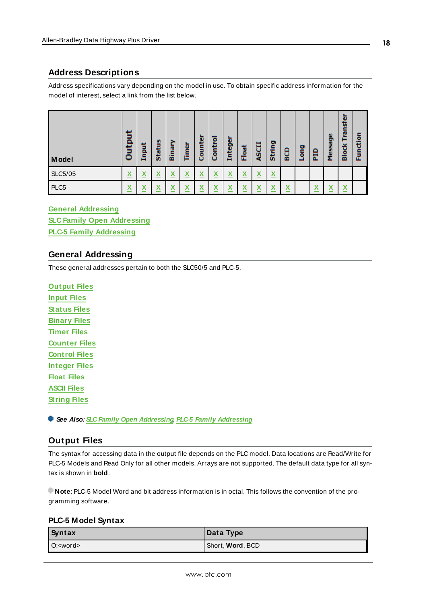### <span id="page-17-0"></span>**Address Descriptions**

Address specifications vary depending on the model in use. To obtain specific address information for the model of interest, select a link from the list below.

| Model            | ō<br>Ë<br>▭                         | 림<br>드 | m<br>Ē<br>ö.              | ē<br>囩 | Timer        | unter<br>ō<br>o                        | ۰<br>Contr | Integer                            | Float | ច្ឆ                           | String                 | BCD                                                                   | Duo<br>┙ | Εp                              | Message | 而<br>о<br>ᄒ | ۰<br>군 |
|------------------|-------------------------------------|--------|---------------------------|--------|--------------|----------------------------------------|------------|------------------------------------|-------|-------------------------------|------------------------|-----------------------------------------------------------------------|----------|---------------------------------|---------|-------------|--------|
| <b>SLC5/05</b>   | v<br>$\boldsymbol{\mathsf{A}}$<br>_ | X<br>- | $\boldsymbol{\mathsf{A}}$ | Λ      | M<br>Λ       | $\sqrt{ }$<br>$\overline{\phantom{a}}$ | Λ          | $\overline{\phantom{a}}$<br>⋏      | Χ     | $\overline{\mathbf{v}}$<br>л  | X                      |                                                                       |          |                                 |         |             |        |
| PLC <sub>5</sub> | v<br>$\boldsymbol{\mathsf{A}}$      | Χ      | $\overline{\phantom{a}}$  | v<br>Λ | $\checkmark$ | $\overline{\phantom{a}}$               |            | $\overline{\phantom{a}}$<br>Λ<br>_ | v     | $\overline{\phantom{a}}$<br>⋏ | $\mathbf{v}$<br>⋀<br>_ | $\checkmark$<br>$\boldsymbol{\mathsf{A}}$<br>$\overline{\phantom{a}}$ |          | v<br>$\boldsymbol{\mathcal{N}}$ | v       | Χ<br>_      |        |

**General [Addressing](#page-17-1) SLC Family Open [Addressing](#page-26-1) PLC-5 Family [Addressing](#page-27-0)**

### <span id="page-17-1"></span>**General Addressing**

These general addresses pertain to both the SLC50/5 and PLC-5.

**[Output](#page-17-2) Files [Input](#page-18-0) Files [Status](#page-20-1) Files [Binary](#page-20-0) Files [Timer](#page-21-0) Files [Counter](#page-22-0) Files [Control](#page-23-0) Files [Integer](#page-24-0) Files [Float](#page-24-1) Files [ASCII](#page-25-0) Files [String](#page-26-0) Files**

<span id="page-17-2"></span>**See Also: SLC Family Open [Addressing](#page-26-1)**, **PLC-5 Family [Addressing](#page-27-0)**

### **Output Files**

The syntax for accessing data in the output file depends on the PLC model. Data locations are Read/Write for PLC-5 Models and Read Only for all other models. Arrays are not supported. The default data type for all syntax is shown in **bold**.

**Note**: PLC-5 Model Word and bit address information is in octal. This follows the convention of the programming software.

#### **PLC-5 Model Syntax**

| Syntax           | Data Type                |
|------------------|--------------------------|
| O: <word></word> | Short, <b>Word</b> , BCD |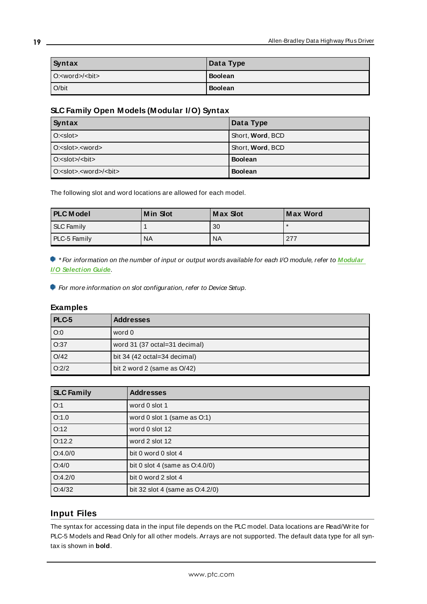| Syntax                       | Data Type      |
|------------------------------|----------------|
| O: <word>/<bit></bit></word> | <b>Boolean</b> |
| $O/b$ it                     | <b>Boolean</b> |

## **SLC Family Open Models (Modular I/O) Syntax**

| Syntax                                                | Data Type        |
|-------------------------------------------------------|------------------|
| $O: <$ slot $>$                                       | Short, Word, BCD |
| O: <slot>.<word></word></slot>                        | Short, Word, BCD |
| $O:=slot>/bit>$                                       | <b>Boolean</b>   |
| $O: <$ slot>. <word><math>/ &lt;</math>bit&gt;</word> | <b>Boolean</b>   |

The following slot and word locations are allowed for each model.

| <b>PLC</b> Model  | <b>Min Slot</b> | Max Slot        | Max Word |
|-------------------|-----------------|-----------------|----------|
| <b>SLC Family</b> |                 | 30              |          |
| PLC-5 Family      | <b>NA</b>       | NA <sup>'</sup> | 277      |

\* For information on the number of input or output words available for each I/O module, refer to **[Modular](#page-14-0) I/O [Selection](#page-14-0) Guide**.

For more information on slot configuration, refer to Device Setup.

#### **Examples**

| PLC-5             | <b>Addresses</b>              |
|-------------------|-------------------------------|
| $\overline{O}$ :0 | word 0                        |
| O:37              | word 31 (37 octal=31 decimal) |
| O/42              | bit 34 (42 octal=34 decimal)  |
| O:2/2             | bit 2 word 2 (same as O/42)   |

| <b>SLC Family</b> | <b>Addresses</b>                  |
|-------------------|-----------------------------------|
| O:1               | word 0 slot 1                     |
| O:1.0             | word 0 slot 1 (same as O:1)       |
| O:12              | word 0 slot 12                    |
| O:12.2            | word 2 slot 12                    |
| O:4.0/0           | bit 0 word 0 slot 4               |
| O:4/0             | bit 0 slot 4 (same as $O:4.0/0$ ) |
| O:4.2/0           | bit 0 word 2 slot 4               |
| O:4/32            | bit 32 slot 4 (same as O:4.2/0)   |

## <span id="page-18-0"></span>**Input Files**

The syntax for accessing data in the input file depends on the PLC model. Data locations are Read/Write for PLC-5 Models and Read Only for all other models. Arrays are not supported. The default data type for all syntax is shown in **bold**.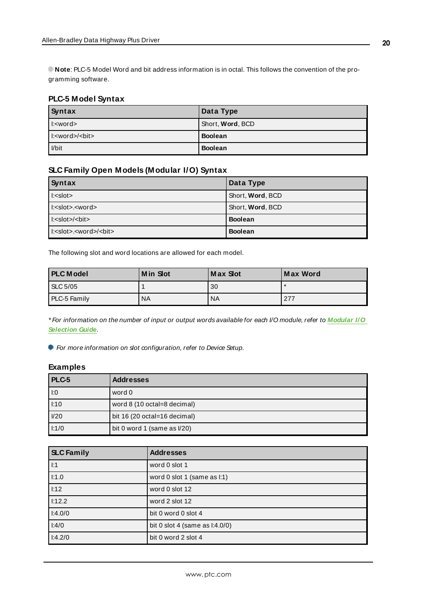**Note**: PLC-5 Model Word and bit address information is in octal. This follows the convention of the programming software.

### **PLC-5 Model Syntax**

| Syntax         | Data Type                |
|----------------|--------------------------|
| $\le$ word $>$ | Short, <b>Word</b> , BCD |
|                | <b>Boolean</b>           |
| Vbit           | <b>Boolean</b>           |

### **SLC Family Open Models (Modular I/O) Syntax**

| Syntax                                     | Data Type        |
|--------------------------------------------|------------------|
| $\vert$ : <slot></slot>                    | Short, Word, BCD |
| l: <slot>.<word></word></slot>             | Short, Word, BCD |
| l: <slot>/<blt></blt></slot>               | <b>Boolean</b>   |
| l: <slot>.<word>/<bit></bit></word></slot> | <b>Boolean</b>   |

The following slot and word locations are allowed for each model.

| <b>PLC Model</b> | <b>Min Slot</b> | Max Slot  | Max Word |
|------------------|-----------------|-----------|----------|
| <b>SLC 5/05</b>  |                 | 30        |          |
| PLC-5 Family     | <b>NA</b>       | <b>NA</b> | 277      |

\* For information on the number of input or output words available for each I/O module, refer to **[Modular](#page-14-0) I/O [Selection](#page-14-0) Guide**.

For more information on slot configuration, refer to Device Setup.

#### **Examples**

| PLC-5 | <b>Addresses</b>               |
|-------|--------------------------------|
| 1:0   | word 0                         |
| 1:10  | word 8 (10 octal=8 decimal)    |
| I/20  | bit 16 (20 octal=16 decimal)   |
| 1:1/0 | bit 0 word 1 (same as $1/20$ ) |

| <b>SLC Family</b> | <b>Addresses</b>                  |
|-------------------|-----------------------------------|
| 1:1               | word 0 slot 1                     |
| l:1.0             | word 0 slot 1 (same as I:1)       |
| 1:12              | word 0 slot 12                    |
| l:12.2            | word 2 slot 12                    |
| 1:4.0/0           | bit 0 word 0 slot 4               |
| 1:4/0             | bit 0 slot 4 (same as $1:4.0/0$ ) |
| 1:4.2/0           | bit 0 word 2 slot 4               |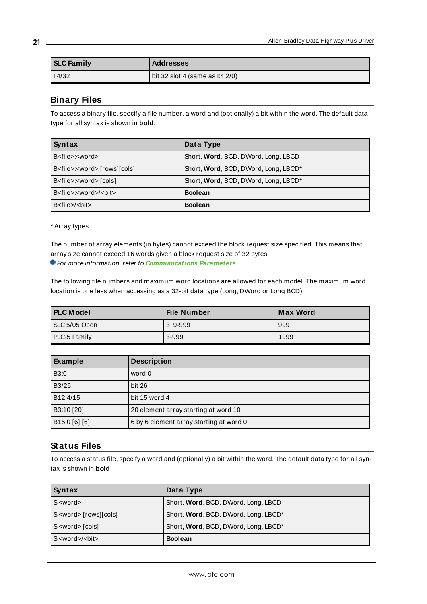| <b>SLC Family</b> | <b>Addresses</b>                |
|-------------------|---------------------------------|
| 1:4/32            | bit 32 slot 4 (same as l:4.2/0) |

### <span id="page-20-0"></span>**Binary Files**

To access a binary file, specify a file number, a word and (optionally) a bit within the word. The default data type for all syntax is shown in **bold**.

| Syntax                                     | Data Type                            |
|--------------------------------------------|--------------------------------------|
| B <file>:<word></word></file>              | Short, Word, BCD, DWord, Long, LBCD  |
| B <file>:<word> [rows][cols]</word></file> | Short, Word, BCD, DWord, Long, LBCD* |
| B <file>:<word>[cols]</word></file>        | Short, Word, BCD, DWord, Long, LBCD* |
| B <file>:<word>/<bit></bit></word></file>  | <b>Boolean</b>                       |
| $B <$ file $>$ /bit $>$                    | <b>Boolean</b>                       |

\* Array types.

The number of array elements (in bytes) cannot exceed the block request size specified. This means that array size cannot exceed 16 words given a block request size of 32 bytes.

For more information, refer to **[Communications](#page-12-0) Parameters**.

The following file numbers and maximum word locations are allowed for each model. The maximum word location is one less when accessing as a 32-bit data type (Long, DWord or Long BCD).

| <b>PLC</b> Model | File Number  | <b>Max Word</b> |
|------------------|--------------|-----------------|
| SLC 5/05 Open    | $3, 9 - 999$ | 999             |
| PLC-5 Family     | 3-999        | 1999            |

| Example       | <b>Description</b>                      |
|---------------|-----------------------------------------|
| B3:0          | word 0                                  |
| B3/26         | bit 26                                  |
| B12:4/15      | bit 15 word 4                           |
| B3:10 [20]    | 20 element array starting at word 10    |
| B15:0 [6] [6] | 6 by 6 element array starting at word 0 |

#### <span id="page-20-1"></span>**Status Files**

To access a status file, specify a word and (optionally) a bit within the word. The default data type for all syntax is shown in **bold**.

| Syntax                        | Data Type                            |
|-------------------------------|--------------------------------------|
| S: <word></word>              | Short, Word, BCD, DWord, Long, LBCD  |
| S: <word> [rows][cols]</word> | Short, Word, BCD, DWord, Long, LBCD* |
| S: <word>[cols]</word>        | Short, Word, BCD, DWord, Long, LBCD* |
| $S: <$ word $>$ / $<$ bit $>$ | <b>Boolean</b>                       |

**21**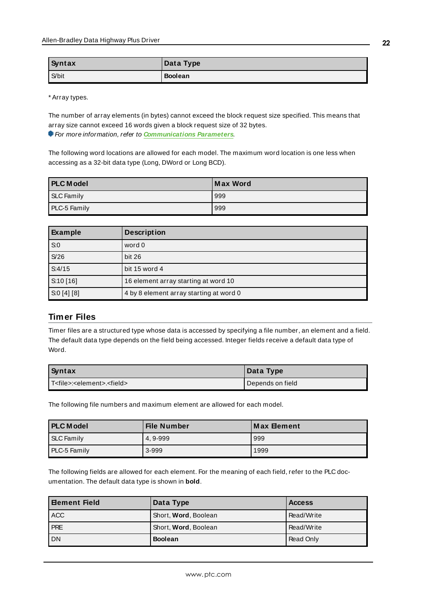| Syntax | Data Type      |
|--------|----------------|
| S/bit  | <b>Boolean</b> |

\* Array types.

The number of array elements (in bytes) cannot exceed the block request size specified. This means that array size cannot exceed 16 words given a block request size of 32 bytes. For more information, refer to **[Communications](#page-12-0) Parameters**.

The following word locations are allowed for each model. The maximum word location is one less when accessing as a 32-bit data type (Long, DWord or Long BCD).

| <b>PLC Model</b> | Max Word |
|------------------|----------|
| SLC Family       | 999      |
| PLC-5 Family     | 999      |

| Example   | <b>Description</b>                      |
|-----------|-----------------------------------------|
| S:0       | word 0                                  |
| S/26      | bit 26                                  |
| S:4/15    | bit 15 word 4                           |
| S:10[16]  | 16 element array starting at word 10    |
| S:0[4][8] | 4 by 8 element array starting at word 0 |

### <span id="page-21-0"></span>**Timer Files**

Timer files are a structured type whose data is accessed by specifying a file number, an element and a field. The default data type depends on the field being accessed. Integer fields receive a default data type of Word.

| Syntax                                                | Data Type          |
|-------------------------------------------------------|--------------------|
| l T <file>:<element>.<field></field></element></file> | I Depends on field |

The following file numbers and maximum element are allowed for each model.

| <b>PLC Model</b>    | File Number | <b>Max Element</b> |
|---------------------|-------------|--------------------|
| SLC Family          | 4.9-999     | 999                |
| <b>PLC-5 Family</b> | 3-999       | 1999               |

The following fields are allowed for each element. For the meaning of each field, refer to the PLC documentation. The default data type is shown in **bold**.

| <b>Element Field</b> | Data Type            | <b>Access</b> |
|----------------------|----------------------|---------------|
| l ACC                | Short, Word, Boolean | Read/Write    |
| <b>PRE</b>           | Short, Word, Boolean | Read/Write    |
| <b>DN</b>            | <b>Boolean</b>       | Read Only     |

**22**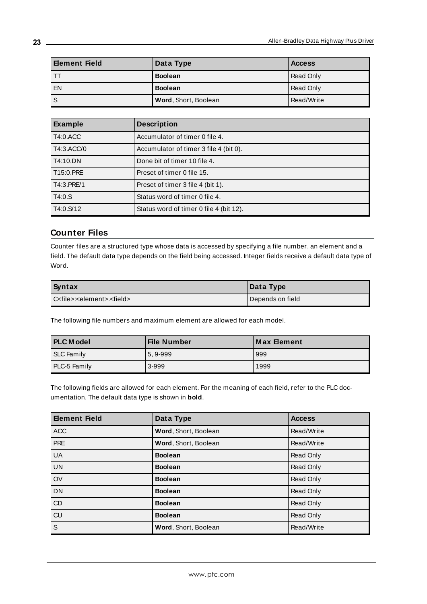| <b>Element Field</b> | Data Type            | <b>Access</b> |
|----------------------|----------------------|---------------|
| TТ                   | <b>Boolean</b>       | Read Only     |
| EN                   | <b>Boolean</b>       | Read Only     |
| S                    | Word, Short, Boolean | Read/Write    |

| Example    | <b>Description</b>                      |
|------------|-----------------------------------------|
| T4:0.ACC   | Accumulator of timer 0 file 4.          |
| T4:3.ACC/0 | Accumulator of timer 3 file 4 (bit 0).  |
| T4:10.DN   | Done bit of timer 10 file 4.            |
| T15:0.PRE  | Preset of timer 0 file 15.              |
| T4:3.PRE/1 | Preset of timer 3 file 4 (bit 1).       |
| T4:0.S     | Status word of timer 0 file 4.          |
| T4:0.S/12  | Status word of timer 0 file 4 (bit 12). |

### <span id="page-22-0"></span>**Counter Files**

Counter files are a structured type whose data is accessed by specifying a file number, an element and a field. The default data type depends on the field being accessed. Integer fields receive a default data type of Word.

| <b>Syntax</b>                                       | Data Type        |
|-----------------------------------------------------|------------------|
| C <file>:<element>.<field></field></element></file> | Depends on field |

The following file numbers and maximum element are allowed for each model.

| <b>PLC Model</b> | File Number | <b>Max Element</b> |
|------------------|-------------|--------------------|
| SLC Family       | 5.9-999     | 999                |
| PLC-5 Family     | 3-999       | 1999               |

The following fields are allowed for each element. For the meaning of each field, refer to the PLC documentation. The default data type is shown in **bold**.

| <b>Element Field</b>    | Data Type            | <b>Access</b> |
|-------------------------|----------------------|---------------|
| <b>ACC</b>              | Word, Short, Boolean | Read/Write    |
| <b>PRE</b>              | Word, Short, Boolean | Read/Write    |
| <b>UA</b>               | <b>Boolean</b>       | Read Only     |
| <b>UN</b>               | <b>Boolean</b>       | Read Only     |
| OV                      | <b>Boolean</b>       | Read Only     |
| <b>DN</b>               | <b>Boolean</b>       | Read Only     |
| CD                      | <b>Boolean</b>       | Read Only     |
| CU                      | <b>Boolean</b>       | Read Only     |
| $\overline{\mathsf{s}}$ | Word, Short, Boolean | Read/Write    |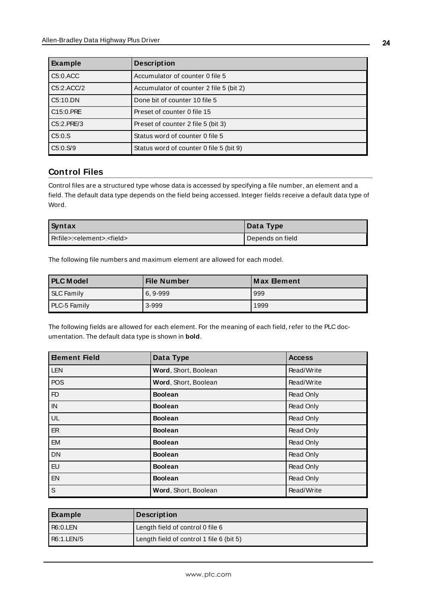| Example    | <b>Description</b>                      |
|------------|-----------------------------------------|
| C5:0.ACC   | Accumulator of counter 0 file 5         |
| C5:2.ACC/2 | Accumulator of counter 2 file 5 (bit 2) |
| C5:10.DN   | Done bit of counter 10 file 5           |
| C15:0.PRE  | Preset of counter 0 file 15             |
| C5:2.PRE/3 | Preset of counter 2 file 5 (bit 3)      |
| C5:0.S     | Status word of counter 0 file 5         |
| C5:0.S/9   | Status word of counter 0 file 5 (bit 9) |

### <span id="page-23-0"></span>**Control Files**

Control files are a structured type whose data is accessed by specifying a file number, an element and a field. The default data type depends on the field being accessed. Integer fields receive a default data type of Word.

| Syntax                                              | Data Type        |
|-----------------------------------------------------|------------------|
| R <file>:<element>.<field></field></element></file> | Depends on field |

The following file numbers and maximum element are allowed for each model.

| <b>PLC Model</b> | <b>File Number</b> | ∣Max ⊟ement |
|------------------|--------------------|-------------|
| SLC Family       | $6.9 - 999$        | 999         |
| PLC-5 Family     | 3-999              | 1999        |

The following fields are allowed for each element. For the meaning of each field, refer to the PLC documentation. The default data type is shown in **bold**.

| <b>Element Field</b> | Data Type            | <b>Access</b>    |
|----------------------|----------------------|------------------|
| <b>LEN</b>           | Word, Short, Boolean | Read/Write       |
| <b>POS</b>           | Word, Short, Boolean | Read/Write       |
| F <sub>D</sub>       | <b>Boolean</b>       | Read Only        |
| IN                   | <b>Boolean</b>       | Read Only        |
| UL                   | <b>Boolean</b>       | Read Only        |
| ER                   | <b>Boolean</b>       | Read Only        |
| <b>EM</b>            | <b>Boolean</b>       | <b>Read Only</b> |
| <b>DN</b>            | <b>Boolean</b>       | Read Only        |
| <b>EU</b>            | <b>Boolean</b>       | Read Only        |
| <b>EN</b>            | <b>Boolean</b>       | Read Only        |
| $\mathsf S$          | Word, Short, Boolean | Read/Write       |

| Example    | <b>Description</b>                       |
|------------|------------------------------------------|
| R6:0.LEN   | Length field of control 0 file 6         |
| R6:1.LEN/5 | Length field of control 1 file 6 (bit 5) |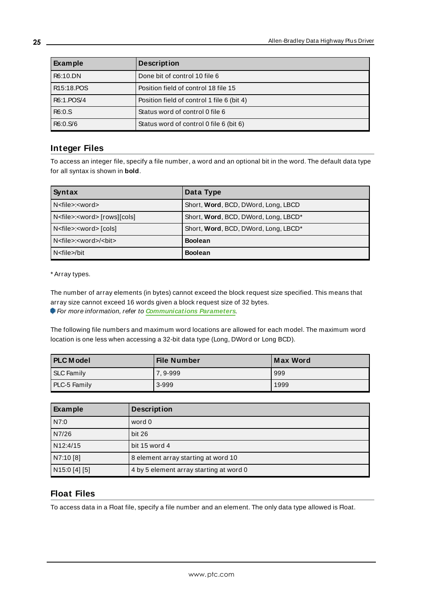| Example    | <b>Description</b>                         |
|------------|--------------------------------------------|
| R6:10.DN   | Done bit of control 10 file 6              |
| R15:18.POS | Position field of control 18 file 15       |
| R6:1.POS/4 | Position field of control 1 file 6 (bit 4) |
| R6:0.S     | Status word of control 0 file 6            |
| R6:0.S/6   | Status word of control 0 file 6 (bit 6)    |

#### <span id="page-24-0"></span>**Integer Files**

To access an integer file, specify a file number, a word and an optional bit in the word. The default data type for all syntax is shown in **bold**.

| Syntax                                     | Data Type                            |
|--------------------------------------------|--------------------------------------|
| N <file>:<word></word></file>              | Short, Word, BCD, DWord, Long, LBCD  |
| N <file>:<word> [rows][cols]</word></file> | Short, Word, BCD, DWord, Long, LBCD* |
| N <file>:<word>[cols]</word></file>        | Short, Word, BCD, DWord, Long, LBCD* |
| N <file>:<word>/<bit></bit></word></file>  | <b>Boolean</b>                       |
| N <file>/bit</file>                        | <b>Boolean</b>                       |

\* Array types.

The number of array elements (in bytes) cannot exceed the block request size specified. This means that array size cannot exceed 16 words given a block request size of 32 bytes.

For more information, refer to **[Communications](#page-12-0) Parameters**.

The following file numbers and maximum word locations are allowed for each model. The maximum word location is one less when accessing a 32-bit data type (Long, DWord or Long BCD).

| <b>PLC Model</b>    | File Number | <b>Max Word</b> |
|---------------------|-------------|-----------------|
| SLC Family          | 7, 9-999    | 999             |
| <b>PLC-5 Family</b> | 3-999       | 1999            |

| Example       | <b>Description</b>                      |
|---------------|-----------------------------------------|
| N7:0          | word 0                                  |
| N7/26         | <b>bit 26</b>                           |
| N12:4/15      | bit 15 word 4                           |
| N7:10 [8]     | 8 element array starting at word 10     |
| N15:0 [4] [5] | 4 by 5 element array starting at word 0 |

#### <span id="page-24-1"></span>**Float Files**

To access data in a Float file, specify a file number and an element. The only data type allowed is Float.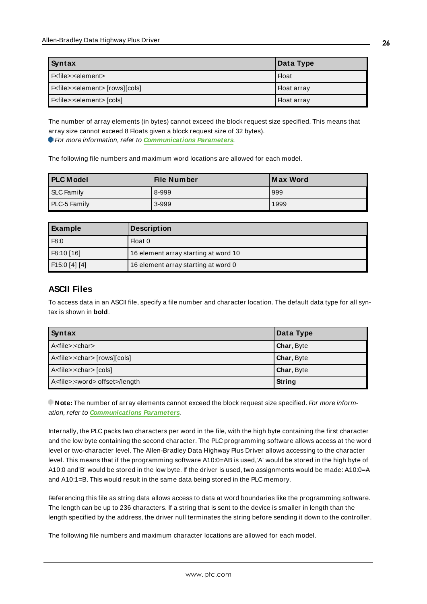| Syntax                                           | Data Type          |
|--------------------------------------------------|--------------------|
| F <file>:<element></element></file>              | Float              |
| F <file>:<element> [rows][cols]</element></file> | <b>Float array</b> |
| F <file>:<element> [cols]</element></file>       | , Float array      |

The number of array elements (in bytes) cannot exceed the block request size specified. This means that array size cannot exceed 8 Floats given a block request size of 32 bytes). For more information, refer to **[Communications](#page-12-0) Parameters**.

The following file numbers and maximum word locations are allowed for each model.

| <b>PLC Model</b>    | <b>File Number</b> | Max Word |
|---------------------|--------------------|----------|
| SLC Family          | 8-999              | 999      |
| <b>PLC-5 Family</b> | 3-999              | 1999     |

| Example              | <b>Description</b>                   |
|----------------------|--------------------------------------|
| F8:0                 | Float 0                              |
| F8:10 [16]           | 16 element array starting at word 10 |
| $\mid$ F15:0 [4] [4] | 16 element array starting at word 0  |

### <span id="page-25-0"></span>**ASCII Files**

To access data in an ASCII file, specify a file number and character location. The default data type for all syntax is shown in **bold**.

| Syntax                                          | Data Type         |
|-------------------------------------------------|-------------------|
| A <file>:<char></char></file>                   | <b>Char, Byte</b> |
| A <file>:<char>[rows][cols]</char></file>       | <b>Char, Byte</b> |
| A <file>:<char> [cols]</char></file>            | <b>Char, Byte</b> |
| A <file>:<word> offset&gt;/length</word></file> | String            |

**Note:** The number of array elements cannot exceed the block request size specified. For more information, refer to **[Communications](#page-12-0) Parameters**.

Internally, the PLC packs two characters per word in the file, with the high byte containing the first character and the low byte containing the second character. The PLC programming software allows access at the word level or two-character level. The Allen-Bradley Data Highway Plus Driver allows accessing to the character level. This means that if the programming software A10:0=AB is used,'A' would be stored in the high byte of A10:0 and'B' would be stored in the low byte. If the driver is used, two assignments would be made: A10:0=A and A10:1=B. This would result in the same data being stored in the PLC memory.

Referencing this file as string data allows access to data at word boundaries like the programming software. The length can be up to 236 characters. If a string that is sent to the device is smaller in length than the length specified by the address, the driver null terminates the string before sending it down to the controller.

The following file numbers and maximum character locations are allowed for each model.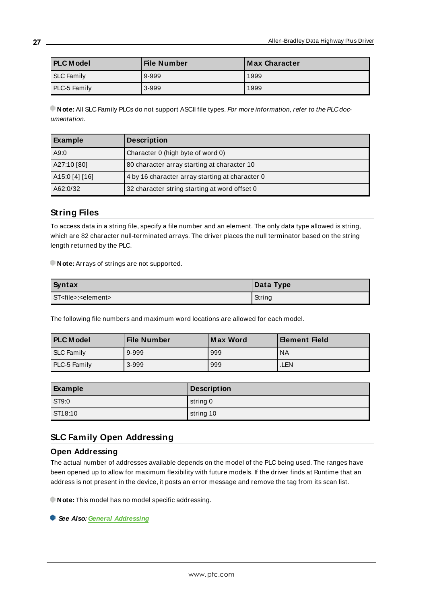| <b>PLC</b> Model | File Number | Max Character |
|------------------|-------------|---------------|
| SLC Family       | 9-999       | 1999          |
| PLC-5 Family     | 3-999       | 1999          |

**Note:** All SLC Family PLCs do not support ASCII file types. For more information, refer to the PLC documentation.

| Example        | <b>Description</b>                              |
|----------------|-------------------------------------------------|
| A9:0           | Character 0 (high byte of word 0)               |
| A27:10 [80]    | 80 character array starting at character 10     |
| A15:0 [4] [16] | 4 by 16 character array starting at character 0 |
| A62:0/32       | 32 character string starting at word offset 0   |

### <span id="page-26-0"></span>**String Files**

To access data in a string file, specify a file number and an element. The only data type allowed is string, which are 82 character null-terminated arrays. The driver places the null terminator based on the string length returned by the PLC.

**Note:** Arrays of strings are not supported.

| <b>Syntax</b>                        | Data Type |
|--------------------------------------|-----------|
| ST <file>:<element></element></file> | String    |

The following file numbers and maximum word locations are allowed for each model.

| <b>PLC Model</b>  | File Number | Max Word | <b>Element Field</b> |
|-------------------|-------------|----------|----------------------|
| <b>SLC Family</b> | 9-999       | 999      | ' NA                 |
| PLC-5 Family      | 3-999       | 999      | LEN.                 |

| Example      | <b>Description</b> |
|--------------|--------------------|
| <b>ST9:0</b> | string 0           |
| ST18:10      | string 10          |

#### <span id="page-26-1"></span>**SLC Family Open Addressing**

#### **Open Addressing**

The actual number of addresses available depends on the model of the PLC being used. The ranges have been opened up to allow for maximum flexibility with future models. If the driver finds at Runtime that an address is not present in the device, it posts an error message and remove the tag from its scan list.

**Note:** This model has no model specific addressing.

**See Also: General [Addressing](#page-17-1)**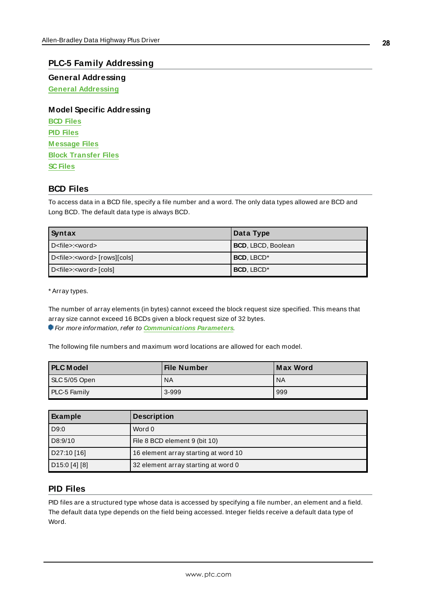#### <span id="page-27-0"></span>**PLC-5 Family Addressing**

**General Addressing General [Addressing](#page-17-1)**

**Model Specific Addressing BCD [Files](#page-27-1) PID [Files](#page-27-2) [M essage](#page-29-0) Files Block [Transfer](#page-30-0) Files SC [Files](#page-31-0)**

### <span id="page-27-1"></span>**BCD Files**

To access data in a BCD file, specify a file number and a word. The only data types allowed are BCD and Long BCD. The default data type is always BCD.

| Syntax                                     | Data Type                 |
|--------------------------------------------|---------------------------|
| l D <file>:<word></word></file>            | <b>BCD, LBCD, Boolean</b> |
| D <file>:<word> [rows][cols]</word></file> | <b>BCD, LBCD*</b>         |
| D <file>:<word>[cols]</word></file>        | <b>BCD, LBCD*</b>         |

\* Array types.

The number of array elements (in bytes) cannot exceed the block request size specified. This means that array size cannot exceed 16 BCDs given a block request size of 32 bytes. For more information, refer to **[Communications](#page-12-0) Parameters**.

The following file numbers and maximum word locations are allowed for each model.

| <b>PLC</b> Model | File Number | <b>Max Word</b> |
|------------------|-------------|-----------------|
| SLC 5/05 Open    | <b>NA</b>   | <b>NA</b>       |
| PLC-5 Family     | 3-999       | 999             |

| Example                   | <b>Description</b>                   |
|---------------------------|--------------------------------------|
| D9:0                      | Word 0                               |
| D8:9/10                   | File 8 BCD element 9 (bit 10)        |
| D27:10 [16]               | 16 element array starting at word 10 |
| D <sub>15:0</sub> [4] [8] | 32 element array starting at word 0  |

### <span id="page-27-2"></span>**PID Files**

PID files are a structured type whose data is accessed by specifying a file number, an element and a field. The default data type depends on the field being accessed. Integer fields receive a default data type of Word.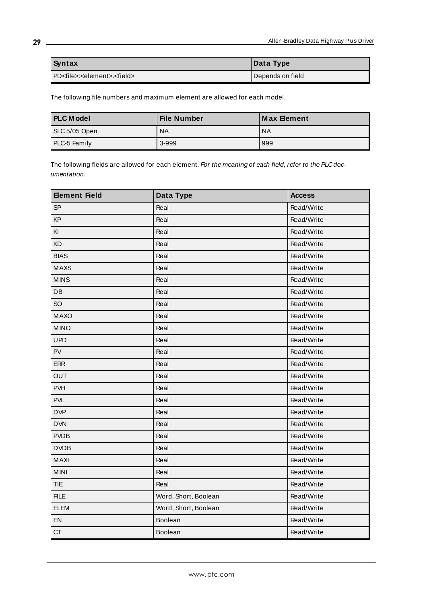| Syntax                                                 | Data Type        |
|--------------------------------------------------------|------------------|
| l PD <file>:<element>.<field></field></element></file> | Depends on field |

The following file numbers and maximum element are allowed for each model.

| <b>PLC</b> Model | <b>File Number</b> | ⊺Max ⊟ement |
|------------------|--------------------|-------------|
| SLC 5/05 Open    | <b>NA</b>          | <b>NA</b>   |
| PLC-5 Family     | 3-999              | 999         |

The following fields are allowed for each element. For the meaning of each field, refer to the PLC documentation.

| <b>Eement Field</b>    | Data Type            | <b>Access</b> |
|------------------------|----------------------|---------------|
| <b>SP</b>              | Real                 | Read/Write    |
| KP                     | Real                 | Read/Write    |
| KI                     | Real                 | Read/Write    |
| KD                     | Real                 | Read/Write    |
| <b>BIAS</b>            | Real                 | Read/Write    |
| <b>MAXS</b>            | Real                 | Read/Write    |
| <b>MINS</b>            | Real                 | Read/Write    |
| $\mathsf{D}\mathsf{B}$ | Real                 | Read/Write    |
| SO                     | Real                 | Read/Write    |
| <b>MAXO</b>            | Real                 | Read/Write    |
| <b>MINO</b>            | Real                 | Read/Write    |
| <b>UPD</b>             | Real                 | Read/Write    |
| PV                     | Real                 | Read/Write    |
| <b>ERR</b>             | Real                 | Read/Write    |
| <b>OUT</b>             | Real                 | Read/Write    |
| <b>PVH</b>             | Real                 | Read/Write    |
| <b>PVL</b>             | Real                 | Read/Write    |
| <b>DVP</b>             | Real                 | Read/Write    |
| <b>DVN</b>             | Real                 | Read/Write    |
| <b>PVDB</b>            | Real                 | Read/Write    |
| <b>DVDB</b>            | Real                 | Read/Write    |
| <b>MAXI</b>            | Real                 | Read/Write    |
| <b>MINI</b>            | Real                 | Read/Write    |
| <b>TIE</b>             | Real                 | Read/Write    |
| <b>FILE</b>            | Word, Short, Boolean | Read/Write    |
| <b>ELEM</b>            | Word, Short, Boolean | Read/Write    |
| EN                     | Boolean              | Read/Write    |
| <b>CT</b>              | Boolean              | Read/Write    |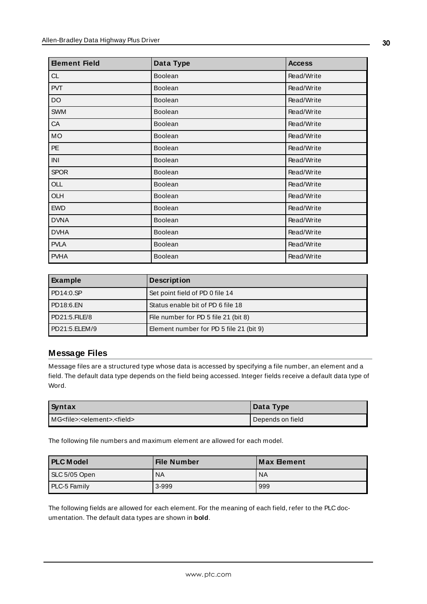| <b>Element Field</b> | Data Type      | <b>Access</b> |
|----------------------|----------------|---------------|
| CL                   | Boolean        | Read/Write    |
| <b>PVT</b>           | Boolean        | Read/Write    |
| DO                   | <b>Boolean</b> | Read/Write    |
| <b>SWM</b>           | <b>Boolean</b> | Read/Write    |
| ${\sf CA}$           | <b>Boolean</b> | Read/Write    |
| MO                   | Boolean        | Read/Write    |
| $PE$                 | <b>Boolean</b> | Read/Write    |
| INI                  | <b>Boolean</b> | Read/Write    |
| <b>SPOR</b>          | <b>Boolean</b> | Read/Write    |
| OLL                  | <b>Boolean</b> | Read/Write    |
| OLH                  | Boolean        | Read/Write    |
| <b>EWD</b>           | <b>Boolean</b> | Read/Write    |
| <b>DVNA</b>          | <b>Boolean</b> | Read/Write    |
| <b>DVHA</b>          | <b>Boolean</b> | Read/Write    |
| <b>PVLA</b>          | Boolean        | Read/Write    |
| <b>PVHA</b>          | <b>Boolean</b> | Read/Write    |

| Example          | <b>Description</b>                      |
|------------------|-----------------------------------------|
| PDA4:0.SP        | Set point field of PD 0 file 14         |
| PD18:6.EN        | Status enable bit of PD 6 file 18       |
| $PD21:5.$ FILE/8 | File number for PD 5 file 21 (bit 8)    |
| PD21:5.ELEM/9    | Element number for PD 5 file 21 (bit 9) |

### <span id="page-29-0"></span>**Message Files**

Message files are a structured type whose data is accessed by specifying a file number, an element and a field. The default data type depends on the field being accessed. Integer fields receive a default data type of Word.

| Syntax                                                | Data Type        |
|-------------------------------------------------------|------------------|
| IMG <file>:<element>.<field></field></element></file> | Depends on field |

The following file numbers and maximum element are allowed for each model.

| <b>PLC Model</b>    | <b>File Number</b> | l Max Element |
|---------------------|--------------------|---------------|
| SLC 5/05 Open       | <b>NA</b>          | <b>NA</b>     |
| <b>PLC-5 Family</b> | 3-999              | 999           |

The following fields are allowed for each element. For the meaning of each field, refer to the PLC documentation. The default data types are shown in **bold**.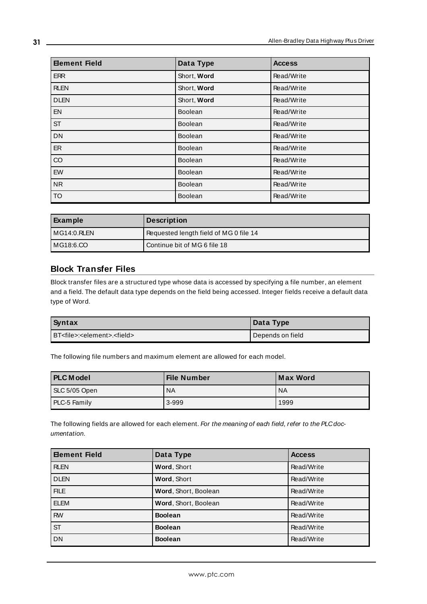| <b>Element Field</b> | Data Type      | <b>Access</b> |
|----------------------|----------------|---------------|
| <b>ERR</b>           | Short, Word    | Read/Write    |
| <b>RLEN</b>          | Short, Word    | Read/Write    |
| <b>DLEN</b>          | Short, Word    | Read/Write    |
| <b>EN</b>            | <b>Boolean</b> | Read/Write    |
| <b>ST</b>            | <b>Boolean</b> | Read/Write    |
| <b>DN</b>            | <b>Boolean</b> | Read/Write    |
| <b>ER</b>            | <b>Boolean</b> | Read/Write    |
| CO                   | <b>Boolean</b> | Read/Write    |
| EW                   | <b>Boolean</b> | Read/Write    |
| <b>NR</b>            | <b>Boolean</b> | Read/Write    |
| <b>TO</b>            | Boolean        | Read/Write    |

| Example     | <b>Description</b>                     |
|-------------|----------------------------------------|
| MG14:0.RLEN | Requested length field of MG 0 file 14 |
| MG18:6.CO   | Continue bit of MG 6 file 18           |

### <span id="page-30-0"></span>**Block Transfer Files**

Block transfer files are a structured type whose data is accessed by specifying a file number, an element and a field. The default data type depends on the field being accessed. Integer fields receive a default data type of Word.

| <b>Syntax</b>                                        | Data Type          |  |
|------------------------------------------------------|--------------------|--|
| BT <file>:<element>.<field></field></element></file> | I Depends on field |  |

The following file numbers and maximum element are allowed for each model.

| <b>PLC Model</b>    | <b>File Number</b> | <b>Max Word</b> |
|---------------------|--------------------|-----------------|
| SLC 5/05 Open       | ' NA               | ' NA            |
| <b>PLC-5 Family</b> | $3-999$            | 1999            |

The following fields are allowed for each element. For the meaning of each field, refer to the PLC documentation.

| <b>Element Field</b> | Data Type            | <b>Access</b> |
|----------------------|----------------------|---------------|
| <b>RLEN</b>          | Word, Short          | Read/Write    |
| <b>DLEN</b>          | Word, Short          | Read/Write    |
| <b>FILE</b>          | Word, Short, Boolean | Read/Write    |
| <b>ELEM</b>          | Word, Short, Boolean | Read/Write    |
| <b>RW</b>            | <b>Boolean</b>       | Read/Write    |
| <b>ST</b>            | <b>Boolean</b>       | Read/Write    |
| <b>DN</b>            | <b>Boolean</b>       | Read/Write    |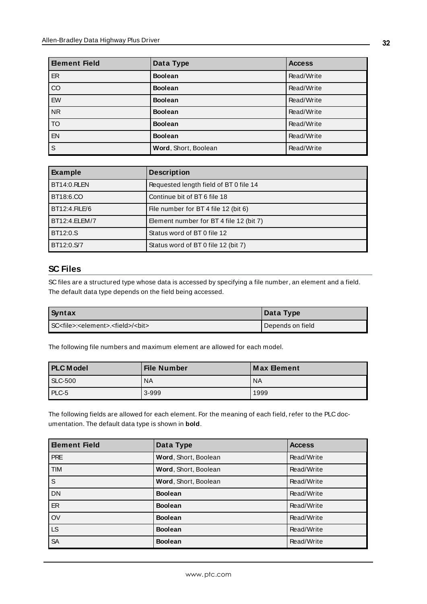| <b>Eement Field</b>    | Data Type            | <b>Access</b> |
|------------------------|----------------------|---------------|
| ER                     | <b>Boolean</b>       | Read/Write    |
| $\overline{c}$         | <b>Boolean</b>       | Read/Write    |
| <b>EW</b>              | <b>Boolean</b>       | Read/Write    |
| NR                     | <b>Boolean</b>       | Read/Write    |
| $\overline{\text{To}}$ | <b>Boolean</b>       | Read/Write    |
| EN                     | <b>Boolean</b>       | Read/Write    |
| $\overline{s}$         | Word, Short, Boolean | Read/Write    |

| Example            | <b>Description</b>                      |
|--------------------|-----------------------------------------|
| <b>BT14:0.RLEN</b> | Requested length field of BT 0 file 14  |
| BT18:6.CO          | Continue bit of BT 6 file 18            |
| BT12:4.FILE/6      | File number for BT 4 file 12 (bit 6)    |
| BT12:4.ELEM/7      | Element number for BT 4 file 12 (bit 7) |
| BT12:0.S           | Status word of BT 0 file 12             |
| BT12:0.S/7         | Status word of BT 0 file 12 (bit 7)     |

### <span id="page-31-0"></span>**SC Files**

SC files are a structured type whose data is accessed by specifying a file number, an element and a field. The default data type depends on the field being accessed.

| Syntax                                                           | $\blacksquare$ Data Type |
|------------------------------------------------------------------|--------------------------|
| SC <file>:<element>.<field>/<bit></bit></field></element></file> | Depends on field         |

The following file numbers and maximum element are allowed for each model.

| <b>PLC Model</b> | File Number | l Max Element |
|------------------|-------------|---------------|
| <b>SLC-500</b>   | <b>NA</b>   | ' NA          |
| PLC-5            | $3-999$     | 1999          |

The following fields are allowed for each element. For the meaning of each field, refer to the PLC documentation. The default data type is shown in **bold**.

| <b>Element Field</b> | Data Type            | <b>Access</b> |
|----------------------|----------------------|---------------|
| <b>PRE</b>           | Word, Short, Boolean | Read/Write    |
| <b>TIM</b>           | Word, Short, Boolean | Read/Write    |
| S                    | Word, Short, Boolean | Read/Write    |
| <b>DN</b>            | <b>Boolean</b>       | Read/Write    |
| ER                   | <b>Boolean</b>       | Read/Write    |
| OV                   | <b>Boolean</b>       | Read/Write    |
| <b>LS</b>            | <b>Boolean</b>       | Read/Write    |
| <b>SA</b>            | <b>Boolean</b>       | Read/Write    |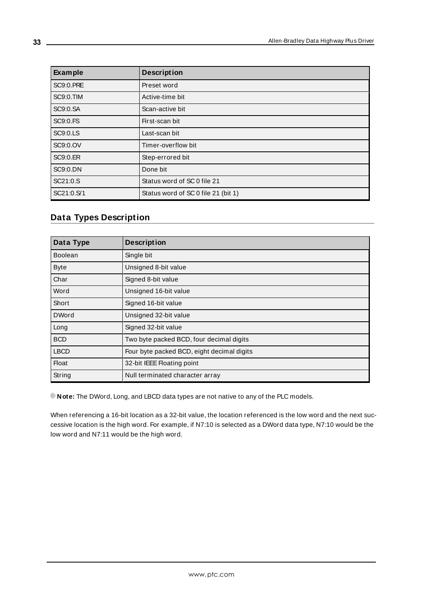| Example          | <b>Description</b>                  |
|------------------|-------------------------------------|
| <b>SC9:0.PRE</b> | Preset word                         |
| <b>SC9:0.TIM</b> | Active-time bit                     |
| SC9:0.SA         | Scan-active bit                     |
| SC9:0.FS         | First-scan bit                      |
| SC9:0.LS         | Last-scan bit                       |
| SC9:0.OV         | Timer-overflow bit                  |
| <b>SC9:0.ER</b>  | Step-errored bit                    |
| SC9:0.DN         | Done bit                            |
| SC21:0.S         | Status word of SC 0 file 21         |
| SC21:0.S/1       | Status word of SC 0 file 21 (bit 1) |

### <span id="page-32-0"></span>**Data Types Description**

<span id="page-32-11"></span><span id="page-32-9"></span><span id="page-32-8"></span><span id="page-32-5"></span><span id="page-32-4"></span><span id="page-32-3"></span><span id="page-32-2"></span>

| Data Type      | <b>Description</b>                         |
|----------------|--------------------------------------------|
| <b>Boolean</b> | Single bit                                 |
| <b>Byte</b>    | Unsigned 8-bit value                       |
| Char           | Signed 8-bit value                         |
| Word           | Unsigned 16-bit value                      |
| Short          | Signed 16-bit value                        |
| <b>DWord</b>   | Unsigned 32-bit value                      |
| Long           | Signed 32-bit value                        |
| <b>BCD</b>     | Two byte packed BCD, four decimal digits   |
| <b>LBCD</b>    | Four byte packed BCD, eight decimal digits |
| <b>Float</b>   | 32-bit IEEE Floating point                 |
| String         | Null terminated character array            |

<span id="page-32-10"></span><span id="page-32-7"></span><span id="page-32-6"></span><span id="page-32-1"></span>**Note:** The DWord, Long, and LBCD data types are not native to any of the PLC models.

When referencing a 16-bit location as a 32-bit value, the location referenced is the low word and the next successive location is the high word. For example, if N7:10 is selected as a DWord data type, N7:10 would be the low word and N7:11 would be the high word.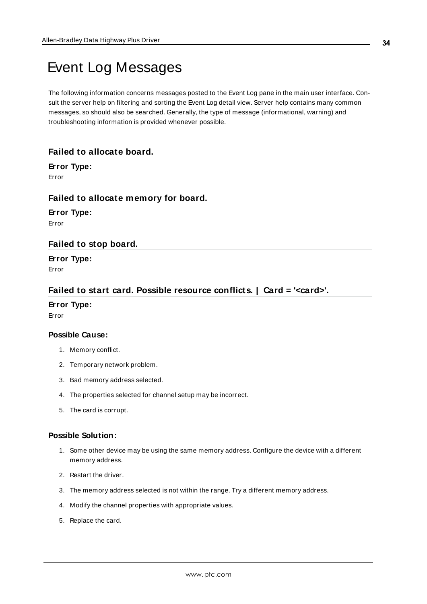## <span id="page-33-0"></span>Event Log Messages

The following information concerns messages posted to the Event Log pane in the main user interface. Consult the server help on filtering and sorting the Event Log detail view. Server help contains many common messages, so should also be searched. Generally, the type of message (informational, warning) and troubleshooting information is provided whenever possible.

#### <span id="page-33-1"></span>**Failed to allocate board.**

### **Error Type:**

<span id="page-33-2"></span>Error

#### **Failed to allocate memory for board.**

**Error Type:** Error

#### <span id="page-33-3"></span>**Failed to stop board.**

**Error Type:** Error

#### <span id="page-33-4"></span>**Failed to start card. Possible resource conflicts. | Card = '<card>'.**

#### **Error Type:**

Error

#### **Possible Cause:**

- 1. Memory conflict.
- 2. Temporary network problem.
- 3. Bad memory address selected.
- 4. The properties selected for channel setup may be incorrect.
- 5. The card is corrupt.

#### **Possible Solution:**

- 1. Some other device may be using the same memory address. Configure the device with a different memory address.
- 2. Restart the driver.
- 3. The memory address selected is not within the range. Try a different memory address.
- 4. Modify the channel properties with appropriate values.
- 5. Replace the card.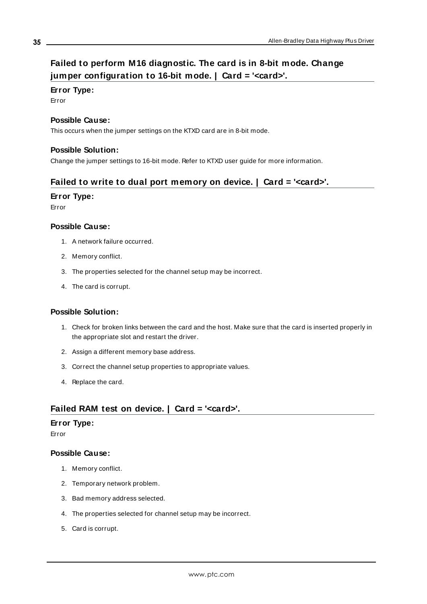### <span id="page-34-0"></span>**Failed to perform M16 diagnostic. The card is in 8-bit mode. Change jumper configuration to 16-bit mode. | Card = '<card>'.**

#### **Error Type:**

Error

#### **Possible Cause:**

This occurs when the jumper settings on the KTXD card are in 8-bit mode.

#### **Possible Solution:**

<span id="page-34-1"></span>Change the jumper settings to 16-bit mode. Refer to KTXD user guide for more information.

### **Failed to write to dual port memory on device. | Card = '<card>'.**

#### **Error Type:**

Error

#### **Possible Cause:**

- 1. A network failure occurred.
- 2. Memory conflict.
- 3. The properties selected for the channel setup may be incorrect.
- 4. The card is corrupt.

#### **Possible Solution:**

- 1. Check for broken links between the card and the host. Make sure that the card is inserted properly in the appropriate slot and restart the driver.
- 2. Assign a different memory base address.
- 3. Correct the channel setup properties to appropriate values.
- 4. Replace the card.

### <span id="page-34-2"></span>**Failed RAM test on device. | Card = '<card>'.**

#### **Error Type:**

Error

- 1. Memory conflict.
- 2. Temporary network problem.
- 3. Bad memory address selected.
- 4. The properties selected for channel setup may be incorrect.
- 5. Card is corrupt.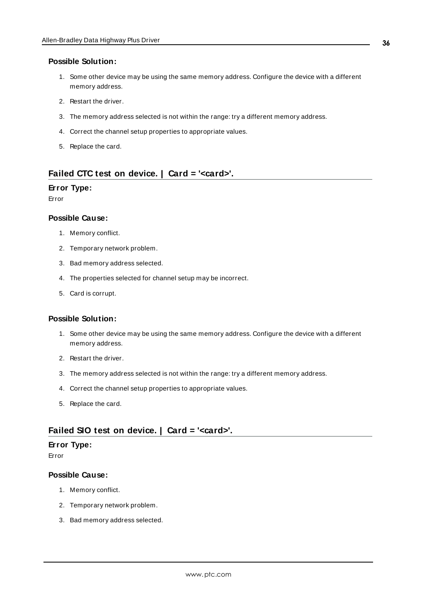- 1. Some other device may be using the same memory address. Configure the device with a different memory address.
- 2. Restart the driver.
- 3. The memory address selected is not within the range: try a different memory address.
- 4. Correct the channel setup properties to appropriate values.
- 5. Replace the card.

#### <span id="page-35-0"></span>**Failed CTC test on device. | Card = '<card>'.**

#### **Error Type:**

Error

#### **Possible Cause:**

- 1. Memory conflict.
- 2. Temporary network problem.
- 3. Bad memory address selected.
- 4. The properties selected for channel setup may be incorrect.
- 5. Card is corrupt.

#### **Possible Solution:**

- 1. Some other device may be using the same memory address. Configure the device with a different memory address.
- 2. Restart the driver.
- 3. The memory address selected is not within the range: try a different memory address.
- 4. Correct the channel setup properties to appropriate values.
- 5. Replace the card.

#### <span id="page-35-1"></span>**Failed SIO test on device. | Card = '<card>'.**

#### **Error Type:**

Error

- 1. Memory conflict.
- 2. Temporary network problem.
- 3. Bad memory address selected.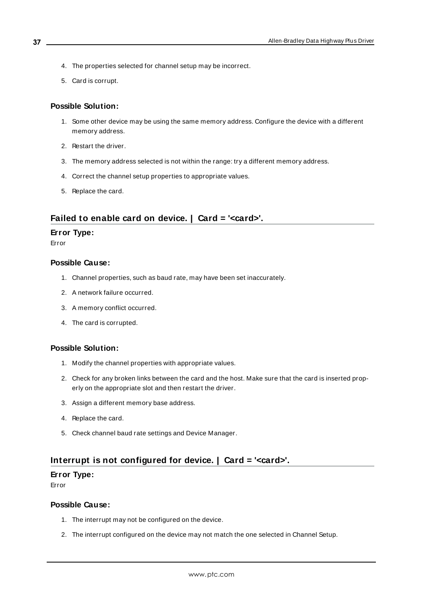- 4. The properties selected for channel setup may be incorrect.
- 5. Card is corrupt.

- 1. Some other device may be using the same memory address. Configure the device with a different memory address.
- 2. Restart the driver.
- 3. The memory address selected is not within the range: try a different memory address.
- 4. Correct the channel setup properties to appropriate values.
- 5. Replace the card.

#### <span id="page-36-0"></span>**Failed to enable card on device. | Card = '<card>'.**

#### **Error Type:**

Error

#### **Possible Cause:**

- 1. Channel properties, such as baud rate, may have been set inaccurately.
- 2. A network failure occurred.
- 3. A memory conflict occurred.
- 4. The card is corrupted.

#### **Possible Solution:**

- 1. Modify the channel properties with appropriate values.
- 2. Check for any broken links between the card and the host. Make sure that the card is inserted properly on the appropriate slot and then restart the driver.
- 3. Assign a different memory base address.
- 4. Replace the card.
- 5. Check channel baud rate settings and Device Manager.

### <span id="page-36-1"></span>**Interrupt is not configured for device. | Card = '<card>'.**

#### **Error Type:**

Error

- 1. The interrupt may not be configured on the device.
- 2. The interrupt configured on the device may not match the one selected in Channel Setup.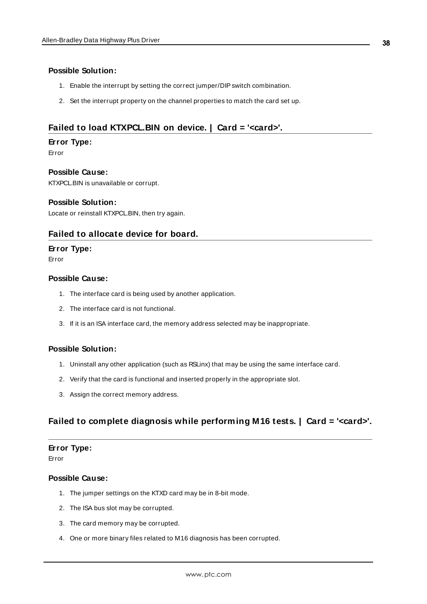- 1. Enable the interrupt by setting the correct jumper/DIPswitch combination.
- 2. Set the interrupt property on the channel properties to match the card set up.

### <span id="page-37-0"></span>**Failed to load KTXPCL.BIN on device. | Card = '<card>'.**

#### **Error Type:**

Error

#### **Possible Cause:**

KTXPCL.BIN is unavailable or corrupt.

#### **Possible Solution:**

<span id="page-37-1"></span>Locate or reinstall KTXPCL.BIN, then try again.

#### **Failed to allocate device for board.**

#### **Error Type:**

Error

#### **Possible Cause:**

- 1. The interface card is being used by another application.
- 2. The interface card is not functional.
- 3. If it is an ISA interface card, the memory address selected may be inappropriate.

#### **Possible Solution:**

- 1. Uninstall any other application (such as RSLinx) that may be using the same interface card.
- 2. Verify that the card is functional and inserted properly in the appropriate slot.
- 3. Assign the correct memory address.

### <span id="page-37-2"></span>**Failed to complete diagnosis while performing M16 tests. | Card = '<card>'.**

#### **Error Type:**

Error

- 1. The jumper settings on the KTXD card may be in 8-bit mode.
- 2. The ISA bus slot may be corrupted.
- 3. The card memory may be corrupted.
- 4. One or more binary files related to M16 diagnosis has been corrupted.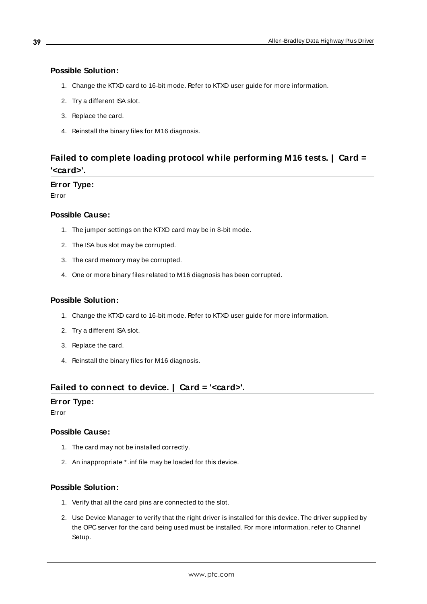- 1. Change the KTXD card to 16-bit mode. Refer to KTXD user guide for more information.
- 2. Try a different ISA slot.
- 3. Replace the card.
- 4. Reinstall the binary files for M16 diagnosis.

### <span id="page-38-0"></span>**Failed to complete loading protocol while performing M16 tests. | Card = '<card>'.**

#### **Error Type:**

Error

#### **Possible Cause:**

- 1. The jumper settings on the KTXD card may be in 8-bit mode.
- 2. The ISA bus slot may be corrupted.
- 3. The card memory may be corrupted.
- 4. One or more binary files related to M16 diagnosis has been corrupted.

#### **Possible Solution:**

- 1. Change the KTXD card to 16-bit mode. Refer to KTXD user guide for more information.
- 2. Try a different ISA slot.
- 3. Replace the card.
- 4. Reinstall the binary files for M16 diagnosis.

### <span id="page-38-1"></span>**Failed to connect to device. | Card = '<card>'.**

#### **Error Type:**

Error

#### **Possible Cause:**

- 1. The card may not be installed correctly.
- 2. An inappropriate \* .inf file may be loaded for this device.

#### **Possible Solution:**

- 1. Verify that all the card pins are connected to the slot.
- 2. Use Device Manager to verify that the right driver is installed for this device. The driver supplied by the OPC server for the card being used must be installed. For more information, refer to Channel Setup.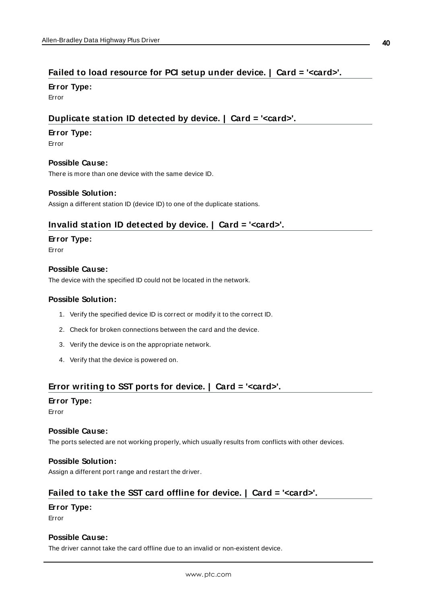### <span id="page-39-0"></span>**Failed to load resource for PCI setup under device. | Card = '<card>'.**

**Error Type:**

<span id="page-39-1"></span>Error

### **Duplicate station ID detected by device. | Card = '<card>'.**

#### **Error Type:**

Error

#### **Possible Cause:**

There is more than one device with the same device ID.

#### **Possible Solution:**

<span id="page-39-2"></span>Assign a different station ID (device ID) to one of the duplicate stations.

#### **Invalid station ID detected by device. | Card = '<card>'.**

#### **Error Type:**

Error

#### **Possible Cause:**

The device with the specified ID could not be located in the network.

#### **Possible Solution:**

- 1. Verify the specified device ID is correct or modify it to the correct ID.
- 2. Check for broken connections between the card and the device.
- 3. Verify the device is on the appropriate network.
- 4. Verify that the device is powered on.

### <span id="page-39-3"></span>**Error writing to SST ports for device. | Card = '<card>'.**

#### **Error Type:**

Error

#### **Possible Cause:**

The ports selected are not working properly, which usually results from conflicts with other devices.

#### **Possible Solution:**

<span id="page-39-4"></span>Assign a different port range and restart the driver.

### **Failed to take the SST card offline for device. | Card = '<card>'.**

#### **Error Type:**

Error

#### **Possible Cause:**

The driver cannot take the card offline due to an invalid or non-existent device.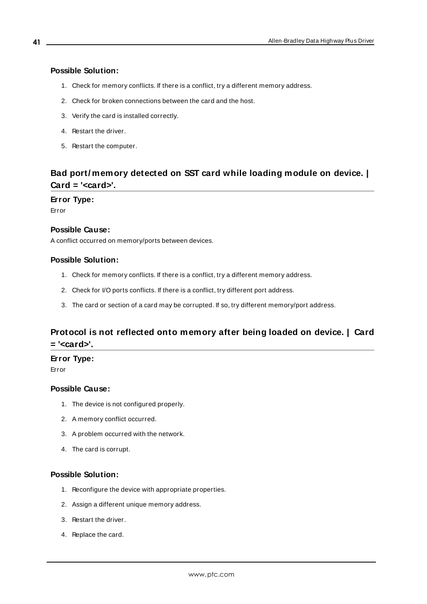- 1. Check for memory conflicts. If there is a conflict, try a different memory address.
- 2. Check for broken connections between the card and the host.
- 3. Verify the card is installed correctly.
- 4. Restart the driver.
- 5. Restart the computer.

### <span id="page-40-0"></span>**Bad port/ memory detected on SST card while loading module on device. | Card = '<card>'.**

**Error Type:** Error

#### **Possible Cause:**

A conflict occurred on memory/ports between devices.

#### **Possible Solution:**

- 1. Check for memory conflicts. If there is a conflict, try a different memory address.
- 2. Check for I/O ports conflicts. If there is a conflict, try different port address.
- 3. The card or section of a card may be corrupted. If so, try different memory/port address.

### <span id="page-40-1"></span>**Protocol is not reflected onto memory after being loaded on device. | Card = '<card>'.**

#### **Error Type:**

Error

#### **Possible Cause:**

- 1. The device is not configured properly.
- 2. A memory conflict occurred.
- 3. A problem occurred with the network.
- 4. The card is corrupt.

#### **Possible Solution:**

- 1. Reconfigure the device with appropriate properties.
- 2. Assign a different unique memory address.
- 3. Restart the driver.
- 4. Replace the card.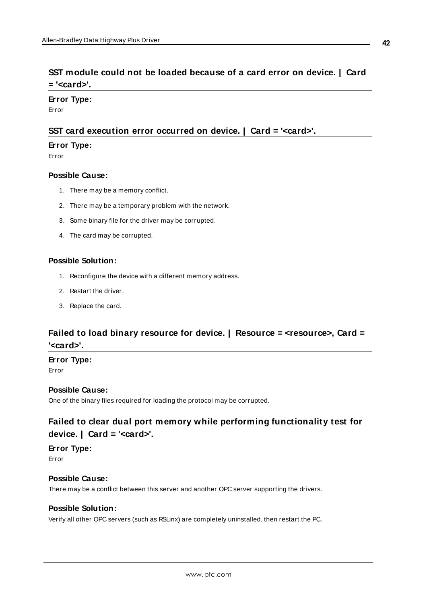### <span id="page-41-0"></span>**SST module could not be loaded because of a card error on device. | Card = '<card>'.**

#### **Error Type:**

<span id="page-41-1"></span>Error

#### **SST card execution error occurred on device. | Card = '<card>'.**

#### **Error Type:**

Error

#### **Possible Cause:**

- 1. There may be a memory conflict.
- 2. There may be a temporary problem with the network.
- 3. Some binary file for the driver may be corrupted.
- 4. The card may be corrupted.

#### **Possible Solution:**

- 1. Reconfigure the device with a different memory address.
- 2. Restart the driver.
- 3. Replace the card.

### <span id="page-41-2"></span>**Failed to load binary resource for device. | Resource = <resource>, Card = '<card>'.**

### **Error Type:**

Error

### **Possible Cause:**

<span id="page-41-3"></span>One of the binary files required for loading the protocol may be corrupted.

### **Failed to clear dual port memory while performing functionality test for device. | Card = '<card>'.**

### **Error Type:**

Error

### **Possible Cause:**

There may be a conflict between this server and another OPC server supporting the drivers.

### **Possible Solution:**

Verify all other OPC servers (such as RSLinx) are completely uninstalled, then restart the PC.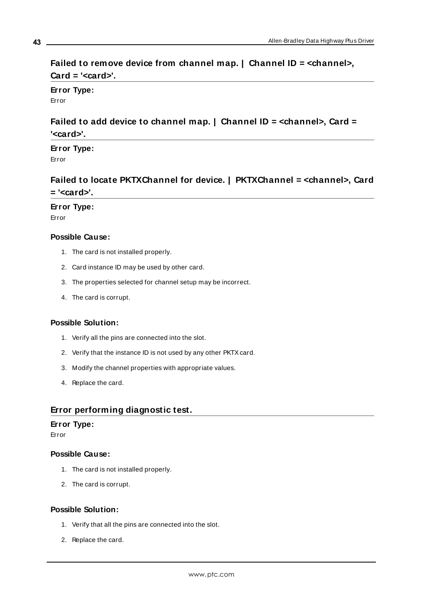### <span id="page-42-0"></span>**Failed to remove device from channel map. | Channel ID = <channel>, Card = '<card>'.**

**Error Type:** Error

### <span id="page-42-1"></span>**Failed to add device to channel map. | Channel ID = <channel>, Card = '<card>'.**

**Error Type:**

<span id="page-42-2"></span>Error

### **Failed to locate PKTXChannel for device. | PKTXChannel = <channel>, Card = '<card>'.**

**Error Type:**

Error

#### **Possible Cause:**

- 1. The card is not installed properly.
- 2. Card instance ID may be used by other card.
- 3. The properties selected for channel setup may be incorrect.
- 4. The card is corrupt.

#### **Possible Solution:**

- 1. Verify all the pins are connected into the slot.
- 2. Verify that the instance ID is not used by any other PKTXcard.
- 3. Modify the channel properties with appropriate values.
- 4. Replace the card.

### <span id="page-42-3"></span>**Error performing diagnostic test.**

#### **Error Type:**

Error

#### **Possible Cause:**

- 1. The card is not installed properly.
- 2. The card is corrupt.

#### **Possible Solution:**

- 1. Verify that all the pins are connected into the slot.
- 2. Replace the card.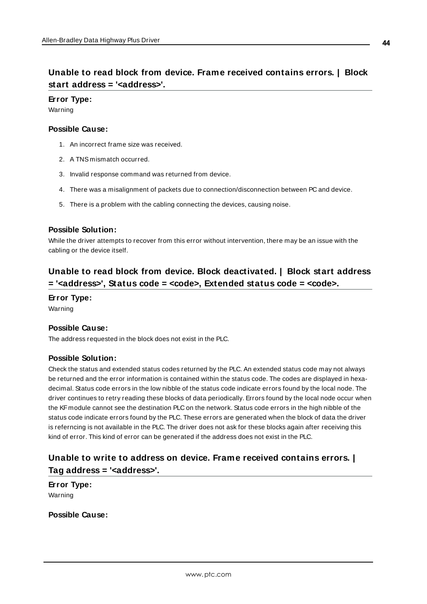### <span id="page-43-0"></span>**Unable to read block from device. Frame received contains errors. | Block start address = '<address>'.**

#### **Error Type:**

Warning

#### **Possible Cause:**

- 1. An incorrect frame size was received.
- 2. A TNS mismatch occurred.
- 3. Invalid response command was returned from device.
- 4. There was a misalignment of packets due to connection/disconnection between PC and device.
- 5. There is a problem with the cabling connecting the devices, causing noise.

#### **Possible Solution:**

While the driver attempts to recover from this error without intervention, there may be an issue with the cabling or the device itself.

### <span id="page-43-1"></span>**Unable to read block from device. Block deactivated. | Block start address = '<address>', Status code = <code>, Extended status code = <code>.**

#### **Error Type:**

Warning

#### **Possible Cause:**

The address requested in the block does not exist in the PLC.

#### **Possible Solution:**

Check the status and extended status codes returned by the PLC. An extended status code may not always be returned and the error information is contained within the status code. The codes are displayed in hexadecimal. Status code errors in the low nibble of the status code indicate errors found by the local node. The driver continues to retry reading these blocks of data periodically. Errors found by the local node occur when the KF module cannot see the destination PLC on the network. Status code errors in the high nibble of the status code indicate errors found by the PLC. These errors are generated when the block of data the driver is referncing is not available in the PLC. The driver does not ask for these blocks again after receiving this kind of error. This kind of error can be generated if the address does not exist in the PLC.

### <span id="page-43-2"></span>**Unable to write to address on device. Frame received contains errors. | Tag address = '<address>'.**

**Error Type:** Warning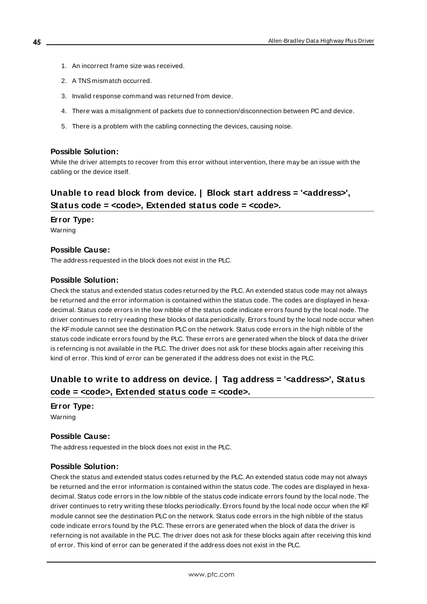- 1. An incorrect frame size was received.
- 2. A TNS mismatch occurred.
- 3. Invalid response command was returned from device.
- 4. There was a misalignment of packets due to connection/disconnection between PC and device.
- 5. There is a problem with the cabling connecting the devices, causing noise.

While the driver attempts to recover from this error without intervention, there may be an issue with the cabling or the device itself.

### <span id="page-44-0"></span>**Unable to read block from device. | Block start address = '<address>', Status code = <code>, Extended status code = <code>.**

**Error Type:** Warning

### **Possible Cause:**

The address requested in the block does not exist in the PLC.

#### **Possible Solution:**

Check the status and extended status codes returned by the PLC. An extended status code may not always be returned and the error information is contained within the status code. The codes are displayed in hexadecimal. Status code errors in the low nibble of the status code indicate errors found by the local node. The driver continues to retry reading these blocks of data periodically. Errors found by the local node occur when the KF module cannot see the destination PLC on the network. Status code errors in the high nibble of the status code indicate errors found by the PLC. These errors are generated when the block of data the driver is referncing is not available in the PLC. The driver does not ask for these blocks again after receiving this kind of error. This kind of error can be generated if the address does not exist in the PLC.

### <span id="page-44-1"></span>**Unable to write to address on device. | Tag address = '<address>', Status code = <code>, Extended status code = <code>.**

**Error Type:** Warning

#### **Possible Cause:**

The address requested in the block does not exist in the PLC.

#### **Possible Solution:**

Check the status and extended status codes returned by the PLC. An extended status code may not always be returned and the error information is contained within the status code. The codes are displayed in hexadecimal. Status code errors in the low nibble of the status code indicate errors found by the local node. The driver continues to retry writing these blocks periodically. Errors found by the local node occur when the KF module cannot see the destination PLC on the network. Status code errors in the high nibble of the status code indicate errors found by the PLC. These errors are generated when the block of data the driver is referncing is not available in the PLC. The driver does not ask for these blocks again after receiving this kind of error. This kind of error can be generated if the address does not exist in the PLC.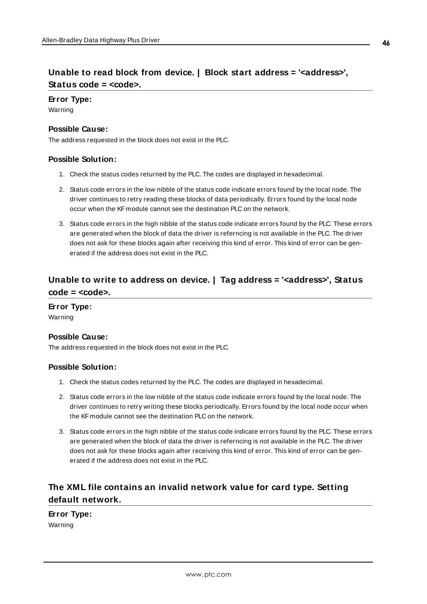### <span id="page-45-0"></span>**Unable to read block from device. | Block start address = '<address>', Status code = <code>.**

#### **Error Type:**

Warning

#### **Possible Cause:**

The address requested in the block does not exist in the PLC.

#### **Possible Solution:**

- 1. Check the status codes returned by the PLC. The codes are displayed in hexadecimal.
- 2. Status code errors in the low nibble of the status code indicate errors found by the local node. The driver continues to retry reading these blocks of data periodically. Errors found by the local node occur when the KF module cannot see the destination PLC on the network.
- 3. Status code errors in the high nibble of the status code indicate errors found by the PLC. These errors are generated when the block of data the driver is referncing is not available in the PLC. The driver does not ask for these blocks again after receiving this kind of error. This kind of error can be generated if the address does not exist in the PLC.

### <span id="page-45-1"></span>**Unable to write to address on device. | Tag address = '<address>', Status code = <code>.**

#### **Error Type:**

Warning

#### **Possible Cause:**

The address requested in the block does not exist in the PLC.

#### **Possible Solution:**

- 1. Check the status codes returned by the PLC. The codes are displayed in hexadecimal.
- 2. Status code errors in the low nibble of the status code indicate errors found by the local node. The driver continues to retry writing these blocks periodically. Errors found by the local node occur when the KF module cannot see the destination PLC on the network.
- 3. Status code errors in the high nibble of the status code indicate errors found by the PLC. These errors are generated when the block of data the driver is referncing is not available in the PLC. The driver does not ask for these blocks again after receiving this kind of error. This kind of error can be generated if the address does not exist in the PLC.

### <span id="page-45-2"></span>**The XML file contains an invalid network value for card type. Setting default network.**

### **Error Type:**

Warning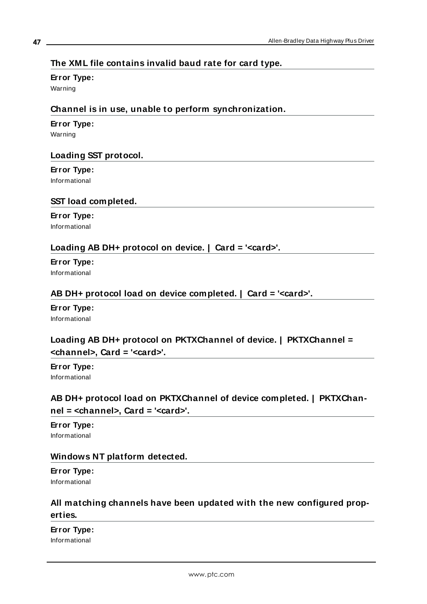### <span id="page-46-0"></span>**The XML file contains invalid baud rate for card type.**

#### **Error Type:**

<span id="page-46-1"></span>Warning

### **Channel is in use, unable to perform synchronization.**

### **Error Type:**

<span id="page-46-2"></span>Warning

### **Loading SST protocol.**

### **Error Type:**

<span id="page-46-3"></span>Informational

### **SST load completed.**

#### **Error Type:** Informational

### <span id="page-46-4"></span>**Loading AB DH+ protocol on device. | Card = '<card>'.**

#### **Error Type:** Informational

### <span id="page-46-5"></span>**AB DH+ protocol load on device completed. | Card = '<card>'.**

#### **Error Type:** Informational

### <span id="page-46-6"></span>**Loading AB DH+ protocol on PKTXChannel of device. | PKTXChannel = <channel>, Card = '<card>'.**

**Error Type:** Informational

### <span id="page-46-7"></span>**AB DH+ protocol load on PKTXChannel of device completed. | PKTXChannel = <channel>, Card = '<card>'.**

#### **Error Type:** Informational

### <span id="page-46-8"></span>**Windows NT platform detected.**

#### **Error Type:** Informational

### <span id="page-46-9"></span>**All matching channels have been updated with the new configured properties.**

**Error Type:**

Informational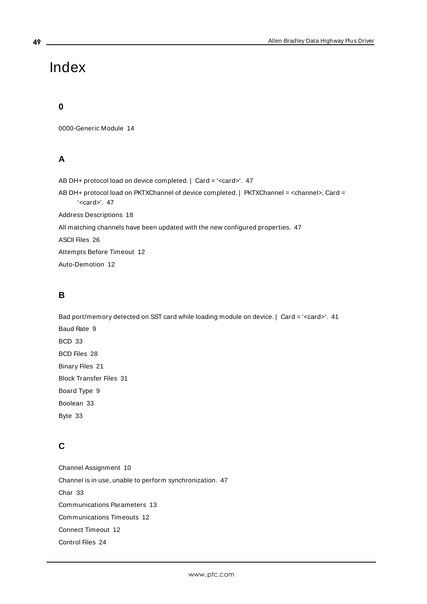## <span id="page-48-0"></span>Index

### **0**

0000-Generic Module [14](#page-13-0)

### **A**

AB DH+ protocol load on device completed. | Card = '<card>'. [47](#page-46-5) AB DH+ protocol load on PKTXChannel of device completed. | PKTXChannel = <channel>, Card = '<card>'. [47](#page-46-7) Address Descriptions [18](#page-17-0) All matching channels have been updated with the new configured properties. [47](#page-46-9) ASCII Files [26](#page-25-0) Attempts Before Timeout [12](#page-11-1) Auto-Demotion [12](#page-11-0)

### **B**

Bad port/memory detected on SST card while loading module on device. | Card = '<card>'. [41](#page-40-0) Baud Rate [9](#page-8-1) BCD [33](#page-32-1) BCD Files [28](#page-27-1) Binary Files [21](#page-20-0) Block Transfer Files [31](#page-30-0) Board Type [9](#page-8-2) Boolean [33](#page-32-2) Byte [33](#page-32-3)

### **C**

Channel Assignment [10](#page-9-1) Channel is in use, unable to perform synchronization. [47](#page-46-1) Char [33](#page-32-4) Communications Parameters [13](#page-12-0) Communications Timeouts [12](#page-11-2) Connect Timeout [12](#page-11-3) Control Files [24](#page-23-0)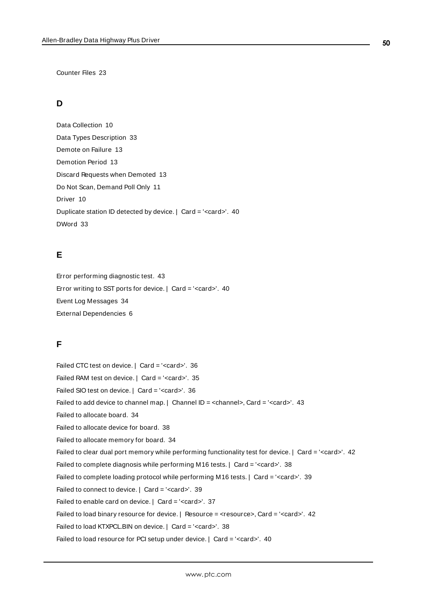Counter Files [23](#page-22-0)

### **D**

Data Collection [10](#page-9-2) Data Types Description [33](#page-32-0) Demote on Failure [13](#page-12-2) Demotion Period [13](#page-12-3) Discard Requests when Demoted [13](#page-12-4) Do Not Scan, Demand Poll Only [11](#page-10-2) Driver [10](#page-9-3) Duplicate station ID detected by device. | Card = '<card>'. [40](#page-39-1) DWord [33](#page-32-5)

### **E**

Error performing diagnostic test. [43](#page-42-3) Error writing to SST ports for device. | Card = '<card>'. [40](#page-39-3) Event Log Messages [34](#page-33-0) External Dependencies [6](#page-5-0)

### **F**

Failed CTC test on device. | Card = '<card>'. [36](#page-35-0) Failed RAM test on device. | Card = '<card>'. [35](#page-34-2) Failed SIO test on device. | Card = '<card>'. [36](#page-35-1) Failed to add device to channel map.  $|$  Channel ID = <channel>, Card = '<card>'. [43](#page-42-1) Failed to allocate board. [34](#page-33-1) Failed to allocate device for board. [38](#page-37-1) Failed to allocate memory for board. [34](#page-33-2) Failed to clear dual port memory while performing functionality test for device. | Card = '<card>'. [42](#page-41-3) Failed to complete diagnosis while performing M16 tests. | Card = '<card>'. [38](#page-37-2) Failed to complete loading protocol while performing M16 tests. | Card = '<card>'. [39](#page-38-0) Failed to connect to device. | Card = '<card>'. [39](#page-38-1) Failed to enable card on device. | Card = '<card>'. [37](#page-36-0) Failed to load binary resource for device. | Resource = <resource>, Card = '<card>'. [42](#page-41-2) Failed to load KTXPCL.BIN on device. | Card = '<card>'. [38](#page-37-0) Failed to load resource for PCI setup under device. | Card = '<card>'. [40](#page-39-0)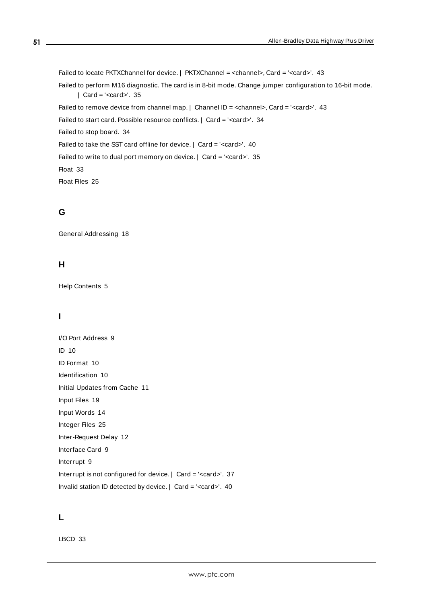Failed to locate PKTXChannel for device. | PKTXChannel = <channel>, Card = '<card>'. [43](#page-42-2) Failed to perform M16 diagnostic. The card is in 8-bit mode. Change jumper configuration to 16-bit mode. | Card = '<card>'. [35](#page-34-0) Failed to remove device from channel map.  $|$  Channel ID = <channel>, Card = '<card>'. [43](#page-42-0) Failed to start card. Possible resource conflicts. | Card = '<card>'. [34](#page-33-4) Failed to stop board. [34](#page-33-3) Failed to take the SST card offline for device. | Card = '<card>'. [40](#page-39-4) Failed to write to dual port memory on device. | Card = '<card>'. [35](#page-34-1) Float [33](#page-32-6) Float Files [25](#page-24-1)

### **G**

General Addressing [18](#page-17-1)

### **H**

Help Contents [5](#page-4-0)

### **I**

I/O Port Address [9](#page-8-3) ID [10](#page-9-4) ID Format [10](#page-9-5) Identification [10](#page-9-0) Initial Updates from Cache [11](#page-10-3) Input Files [19](#page-18-0) Input Words [14](#page-13-1) Integer Files [25](#page-24-0) Inter-Request Delay [12](#page-11-4) Interface Card [9](#page-8-0) Interrupt [9](#page-8-4) Interrupt is not configured for device. | Card = '<card>'. [37](#page-36-1) Invalid station ID detected by device. | Card = '<card>'. [40](#page-39-2)

### **L**

LBCD [33](#page-32-7)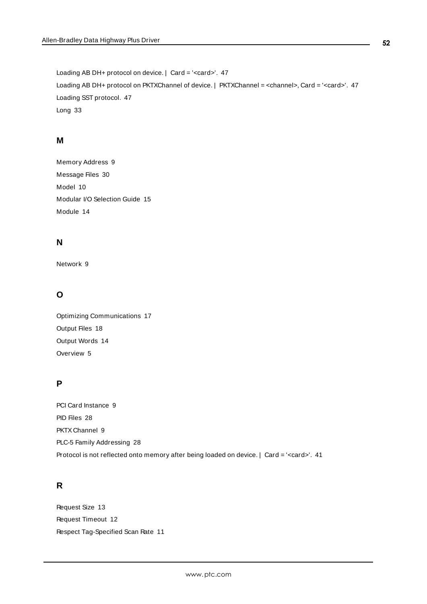Loading AB DH+ protocol on device. | Card = '<card>'. [47](#page-46-4) Loading AB DH+ protocol on PKTXChannel of device. | PKTXChannel = <channel>, Card = '<card>'. [47](#page-46-6) Loading SST protocol. [47](#page-46-2) Long [33](#page-32-8)

#### **M**

Memory Address [9](#page-8-5) Message Files [30](#page-29-0) Model [10](#page-9-6) Modular I/O Selection Guide [15](#page-14-0) Module [14](#page-13-2)

### **N**

Network [9](#page-8-6)

### **O**

Optimizing Communications [17](#page-16-0) Output Files [18](#page-17-2) Output Words [14](#page-13-3) Overview [5](#page-4-1)

### **P**

PCI Card Instance [9](#page-8-7) PID Files [28](#page-27-2) PKTX Channel [9](#page-8-8) PLC-5 Family Addressing [28](#page-27-0) Protocol is not reflected onto memory after being loaded on device. | Card = '<card>'. [41](#page-40-1)

### **R**

Request Size [13](#page-12-5) Request Timeout [12](#page-11-5) Respect Tag-Specified Scan Rate [11](#page-10-4)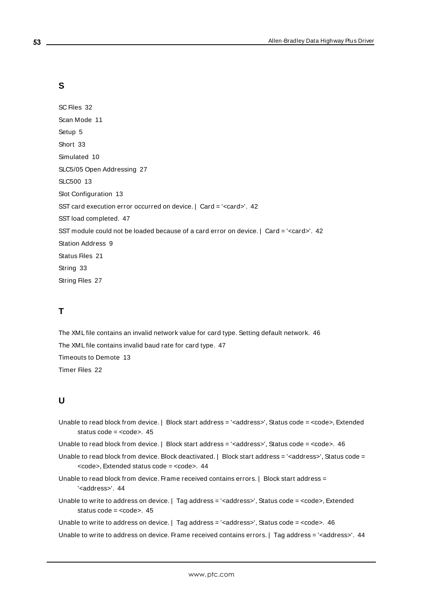### **S**

SC Files [32](#page-31-0) Scan Mode [11](#page-10-5) Setup [5](#page-4-2) Short [33](#page-32-9) Simulated [10](#page-9-7) SLC5/05 Open Addressing [27](#page-26-1) SLC500 [13](#page-12-6) Slot Configuration [13](#page-12-1) SST card execution error occurred on device. | Card = '<card>'. [42](#page-41-1) SST load completed. [47](#page-46-3) SST module could not be loaded because of a card error on device. | Card = '<card>'. [42](#page-41-0) Station Address [9](#page-8-9) Status Files [21](#page-20-1) String [33](#page-32-10) String Files [27](#page-26-0)

### **T**

The XML file contains an invalid network value for card type. Setting default network. [46](#page-45-2) The XML file contains invalid baud rate for card type. [47](#page-46-0) Timeouts to Demote [13](#page-12-7) Timer Files [22](#page-21-0)

### **U**

Unable to read block from device. | Block start address = '<address>', Status code = <code>, Extended status code = <code>, [45](#page-44-0)

Unable to read block from device. | Block start address = '<address>', Status code = <code>. [46](#page-45-0)

- Unable to read block from device. Block deactivated. | Block start address = '<address>', Status code = <code></code>, Extended status code = <code>. [44](#page-43-1)
- Unable to read block from device. Frame received contains errors. | Block start address = '<address>'. [44](#page-43-0)
- Unable to write to address on device. | Tag address = '<address>', Status code = <code>, Extended status code = <code>. [45](#page-44-1)</sup>

Unable to write to address on device. | Tag address = '<address>', Status code = <code>. [46](#page-45-1)

Unable to write to address on device. Frame received contains errors. | Tag address = '<address>'. [44](#page-43-2)